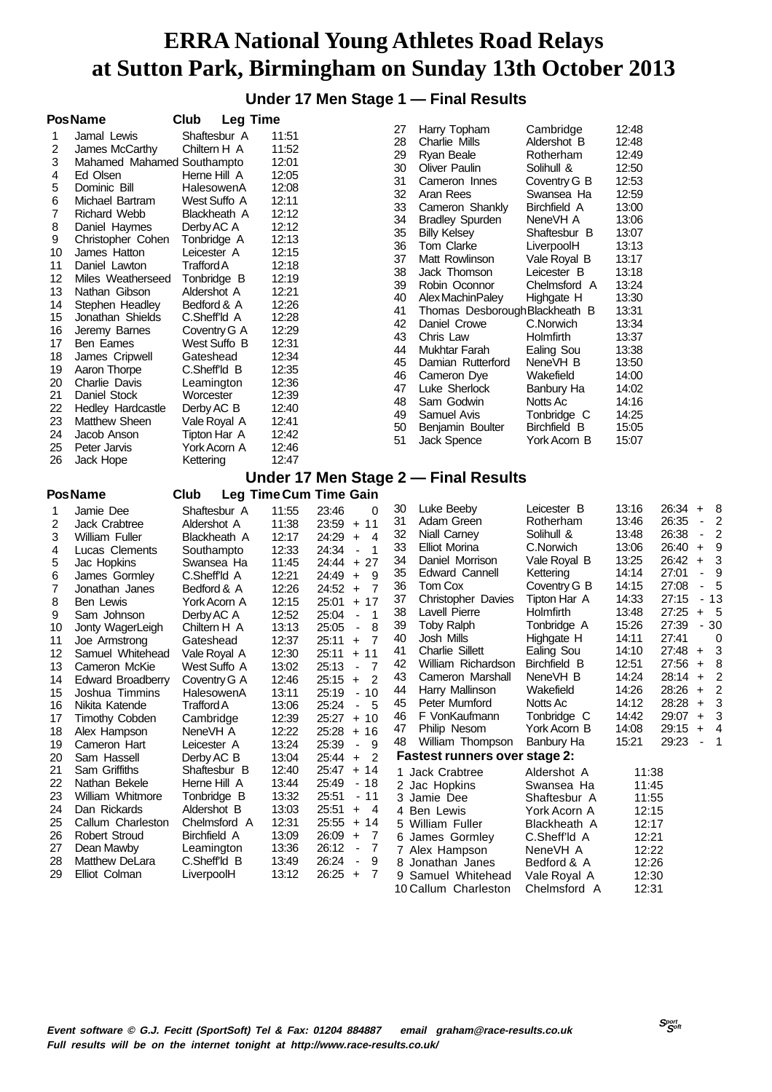#### **Under 17 Men Stage 1 — Final Results**

| Shaftesbur A<br>11:51<br>Jamal Lewis<br>1<br>28<br>Charlie Mills<br>12:48<br>Aldershot B<br>2<br>Chiltern H A<br>11:52<br>James McCarthy<br>29<br>12:49<br>Ryan Beale<br>Rotherham<br>12:01<br>3<br>Mahamed Mahamed Southampto<br>30<br>12:50<br><b>Oliver Paulin</b><br>Solihull &<br>12:05<br>4<br>Ed Olsen<br>Herne Hill A<br>31<br>12:53<br>Cameron Innes<br>Coventry G B<br>5<br>Dominic Bill<br>12:08<br>HalesowenA<br>32<br>Aran Rees<br>12:59<br>Swansea Ha<br>12:11<br>6<br>Michael Bartram<br>West Suffo A<br>33<br>13:00<br>Cameron Shankly<br>Birchfield A<br>7<br>12:12<br>Richard Webb<br>Blackheath A<br>34<br>13:06<br><b>Bradley Spurden</b><br>NeneVH A<br>12:12<br>8<br>Daniel Haymes<br>Derby AC A<br>35<br>13:07<br><b>Billy Kelsey</b><br>Shaftesbur B<br>9<br>12:13<br>Christopher Cohen<br>Tonbridge A<br>36<br>Tom Clarke<br>13:13<br>LiverpoolH<br>12:15<br>10<br>James Hatton<br>Leicester A<br>37<br>13:17<br>Matt Rowlinson<br>Vale Royal B<br><b>Trafford A</b><br>12:18<br>11<br>Daniel Lawton<br>38<br>Jack Thomson<br>13:18<br>Leicester B<br>12:19<br>12<br>Miles Weatherseed<br>Tonbridge B<br>39<br>13:24<br>Robin Oconnor<br>Chelmsford A<br>12:21<br>Nathan Gibson<br>13<br>Aldershot A<br>40<br>13:30<br>Alex Machin Paley<br>Highgate H<br>12:26<br>Bedford & A<br>14<br>Stephen Headley<br>41<br>13:31<br>Thomas Desborough Blackheath B<br>C.Sheff'ld A<br>12:28<br>15<br>Jonathan Shields<br>42<br>C.Norwich<br>13:34<br>Daniel Crowe<br>12:29<br>16<br>Jeremy Barnes<br>Coventry G A<br>43<br>13:37<br>Chris Law<br>Holmfirth<br>12:31<br>17<br>Ben Eames<br>West Suffo B<br>13:38<br>44<br>Mukhtar Farah<br>Ealing Sou<br>12:34<br>18<br>James Cripwell<br>Gateshead<br>45<br>Damian Rutterford<br>13:50<br>NeneVH B<br>12:35<br>C.Sheff <sup>'ld</sup> B<br>19<br>Aaron Thorpe<br>46<br>14:00<br>Wakefield<br>Cameron Dye<br>20<br>12:36<br>Charlie Davis<br>Leamington<br>47<br>14:02<br>Luke Sherlock<br>Banbury Ha<br>21<br>Daniel Stock<br>12:39<br>Worcester<br>48<br>Sam Godwin<br>14:16<br>Notts Ac<br>12:40<br>22<br>Hedley Hardcastle<br>Derby AC B<br>14:25<br>49<br>Samuel Avis<br>Tonbridge C<br>23<br>12:41<br><b>Matthew Sheen</b><br>Vale Royal A<br>15:05<br>50<br>Birchfield B<br>Benjamin Boulter<br>12:42<br>24<br>Jacob Anson<br>Tipton Har A<br>51<br>15:07<br>York Acorn B<br>Jack Spence<br>Peter Jarvis<br>York Acorn A<br>12:46<br>25<br>12:47<br>26<br>Jack Hope<br>Kettering<br>Under 17 Men Stage 2 — Final Results<br>Leg Time Cum Time Gain<br><b>PosName</b><br>Club<br>Leicester B<br>13:16<br>26:34<br>30<br>Luke Beeby<br>8<br>$\ddot{}$<br>Jamie Dee<br>Shaftesbur A<br>11:55<br>23:46<br>0<br>1<br>Adam Green<br>13:46<br>26:35<br>2<br>31<br>Rotherham<br>$\overline{\phantom{a}}$<br>2<br><b>Jack Crabtree</b><br>11:38<br>23:59<br>$+11$<br>Aldershot A<br>26:38<br>2<br>32<br>13:48<br>Niall Carney<br>Solihull &<br>$\overline{\phantom{a}}$<br>12:17<br>24:29<br>$\overline{4}$<br>3<br>William Fuller<br>Blackheath A<br>$+$<br>13:06<br>26:40<br>9<br>33<br>Elliot Morina<br>C.Norwich<br>$\ddot{}$<br>12:33<br>24:34<br>4<br>Lucas Clements<br>-1<br>Southampto<br>$\overline{\phantom{a}}$<br>13:25<br>34<br>Daniel Morrison<br>Vale Royal B<br>26:42<br>$\ddot{}$<br>3<br>5<br>11:45<br>24:44<br>$+27$<br>Jac Hopkins<br>Swansea Ha<br>27:01<br>9<br>35<br><b>Edward Cannell</b><br>14:14<br>Kettering<br>$\overline{\phantom{a}}$<br>C.Sheffld A<br>12:21<br>9<br>6<br>James Gormley<br>24:49<br>$\ddot{}$<br>14:15<br>27:08<br>5<br>36<br>Tom Cox<br>Coventry G B<br>$\blacksquare$<br>7<br>12:26<br>24:52<br>7<br>Jonathan Janes<br>Bedford & A<br>$\ddot{}$<br>14:33<br>27:15<br>- 13<br>37<br><b>Christopher Davies</b><br>Tipton Har A<br>8<br>12:15<br>25:01<br>$+17$<br>Ben Lewis<br>York Acorn A<br><b>Lavell Pierre</b><br>27:25<br>38<br>Holmfirth<br>13:48<br>5<br>$\ddot{}$<br>12:52<br>25:04<br>$\mathbf{1}$<br>9<br>Sam Johnson<br>Derby AC A<br>$\overline{\phantom{a}}$<br>15:26<br>27:39<br>$-30$<br>39<br><b>Toby Ralph</b><br>Tonbridge A<br>13:13<br>25:05<br>8<br>10<br>Chiltern H A<br>Jonty WagerLeigh<br>$\overline{\phantom{a}}$<br>27:41<br>40<br>Josh Mills<br>14:11<br>0<br>Highgate H<br>12:37<br>7<br>11<br>Gateshead<br>25:11<br>$\ddot{}$<br>Joe Armstrong<br>27:48<br>3<br>41<br><b>Charlie Sillett</b><br>14:10<br>Ealing Sou<br>+<br>12<br>12:30<br>$25:11 + 11$<br>Samuel Whitehead<br>Vale Royal A<br>12:51<br>27:56<br>8<br>42<br>William Richardson<br>Birchfield B<br>$\ddot{}$<br>13<br>13:02<br>25:13<br>Cameron McKie<br>West Suffo A<br>-7<br>$\overline{\phantom{a}}$<br>14:24<br>$28:14 +$<br>$\overline{2}$<br>43<br>Cameron Marshall<br>NeneVH B<br>25:15<br>2<br>14<br><b>Edward Broadberry</b><br>12:46<br>$\ddot{}$<br>Coventry G A<br>14:26<br>$28:26 +$<br>2<br>44<br>Wakefield<br>Harry Mallinson<br>$25:19 - 10$<br>15<br>Joshua Timmins<br>13:11<br>HalesowenA<br>Peter Mumford<br>Notts Ac<br>14:12<br>3<br>45<br>28:28<br>$\ddot{}$<br>25:24<br>$-5$<br>Nikita Katende<br>Trafford A<br>16<br>13:06<br>F VonKaufmann<br>Tonbridge C<br>14:42<br>29:07<br>3<br>46<br>$\pmb{+}$<br>$+10$<br>Timothy Cobden<br>12:39<br>25:27<br>17<br>Cambridge<br>29:15<br>Philip Nesom<br>York Acorn B<br>14:08<br>4<br>47<br>+<br>12:22<br>25:28<br>$+16$<br>18<br>Alex Hampson<br>NeneVH A<br>15:21<br>29:23<br>William Thompson<br>Banbury Ha<br>$\blacksquare$<br>$\overline{\phantom{1}}$<br>48<br>25:39<br>19<br>Cameron Hart<br>13:24<br>9<br>Leicester A<br>$\blacksquare$<br><b>Fastest runners over stage 2:</b><br>Sam Hassell<br>13:04<br>25:44<br>2<br>20<br>Derby AC B<br>$\ddot{}$<br>Sam Griffiths<br>21<br>Shaftesbur B<br>12:40<br>25:47<br>$+ 14$<br>1 Jack Crabtree<br>Aldershot A<br>11:38<br>22<br>Nathan Bekele<br>Herne Hill A<br>13:44<br>25:49<br>- 18<br>11:45<br>2 Jac Hopkins<br>Swansea Ha<br>William Whitmore<br>13:32<br>25:51<br>$-11$<br>23<br>Tonbridge B<br>3 Jamie Dee<br>11:55<br>Shaftesbur A<br>13:03<br>25:51<br>Dan Rickards<br>Aldershot B<br>$\ddot{}$<br>- 4<br>24<br>4 Ben Lewis<br>12:15<br>York Acorn A<br>12:31<br>25:55<br>25<br>Callum Charleston<br>Chelmsford A<br>+ 14<br>5 William Fuller<br>12:17<br>Blackheath A<br><b>Robert Stroud</b><br>Birchfield A<br>13:09<br>26:09<br>26<br>$\ddot{}$<br>-7<br>6 James Gormley<br>C.Sheff'ld A<br>12:21<br>27<br>Dean Mawby<br>Leamington<br>13:36<br>26:12<br>$\blacksquare$<br>- 7<br>12:22<br>7 Alex Hampson<br>NeneVH A<br>Matthew DeLara<br>26:24<br>28<br>C.Sheff <sup>'ld</sup> B<br>13:49<br>$\overline{\phantom{a}}$<br>9<br>12:26<br>8 Jonathan Janes<br>Bedford & A<br>13:12<br>26:25<br>29<br>Elliot Colman<br>LiverpoolH<br>$\ddot{}$<br>-7<br>9 Samuel Whitehead<br>12:30<br>Vale Royal A | <b>PosName</b> | Club | <b>Leg Time</b> |    |              |           |       |  |
|--------------------------------------------------------------------------------------------------------------------------------------------------------------------------------------------------------------------------------------------------------------------------------------------------------------------------------------------------------------------------------------------------------------------------------------------------------------------------------------------------------------------------------------------------------------------------------------------------------------------------------------------------------------------------------------------------------------------------------------------------------------------------------------------------------------------------------------------------------------------------------------------------------------------------------------------------------------------------------------------------------------------------------------------------------------------------------------------------------------------------------------------------------------------------------------------------------------------------------------------------------------------------------------------------------------------------------------------------------------------------------------------------------------------------------------------------------------------------------------------------------------------------------------------------------------------------------------------------------------------------------------------------------------------------------------------------------------------------------------------------------------------------------------------------------------------------------------------------------------------------------------------------------------------------------------------------------------------------------------------------------------------------------------------------------------------------------------------------------------------------------------------------------------------------------------------------------------------------------------------------------------------------------------------------------------------------------------------------------------------------------------------------------------------------------------------------------------------------------------------------------------------------------------------------------------------------------------------------------------------------------------------------------------------------------------------------------------------------------------------------------------------------------------------------------------------------------------------------------------------------------------------------------------------------------------------------------------------------------------------------------------------------------------------------------------------------------------------------------------------------------------------------------------------------------------------------------------------------------------------------------------------------------------------------------------------------------------------------------------------------------------------------------------------------------------------------------------------------------------------------------------------------------------------------------------------------------------------------------------------------------------------------------------------------------------------------------------------------------------------------------------------------------------------------------------------------------------------------------------------------------------------------------------------------------------------------------------------------------------------------------------------------------------------------------------------------------------------------------------------------------------------------------------------------------------------------------------------------------------------------------------------------------------------------------------------------------------------------------------------------------------------------------------------------------------------------------------------------------------------------------------------------------------------------------------------------------------------------------------------------------------------------------------------------------------------------------------------------------------------------------------------------------------------------------------------------------------------------------------------------------------------------------------------------------------------------------------------------------------------------------------------------------------------------------------------------------------------------------------------------------------------------------------------------------------------------------------------------------------------------------------------------------------------------------------------------------------------------------------------------------------------------------------------------------------------------------------------------------------------------------------------------------------------------------------------------------------------------------------------------------------------------------------------------------------------------------------------------------------------------------------------------------------------------------------------------------------------------------------------------------------------------------------------------------------------------------------------------------------------------------------------------------------------------------------------------------------------------------------------------------------------------------------------------------------------------------------------------------------------------------------------------------------------------------------------------------------------------------------------------------------------------------------------------------------------------------------------------------------------------------------------------------------------------------------------------------------------------------------------------------------------------------------------------------------------------------------------------------------------------|----------------|------|-----------------|----|--------------|-----------|-------|--|
|                                                                                                                                                                                                                                                                                                                                                                                                                                                                                                                                                                                                                                                                                                                                                                                                                                                                                                                                                                                                                                                                                                                                                                                                                                                                                                                                                                                                                                                                                                                                                                                                                                                                                                                                                                                                                                                                                                                                                                                                                                                                                                                                                                                                                                                                                                                                                                                                                                                                                                                                                                                                                                                                                                                                                                                                                                                                                                                                                                                                                                                                                                                                                                                                                                                                                                                                                                                                                                                                                                                                                                                                                                                                                                                                                                                                                                                                                                                                                                                                                                                                                                                                                                                                                                                                                                                                                                                                                                                                                                                                                                                                                                                                                                                                                                                                                                                                                                                                                                                                                                                                                                                                                                                                                                                                                                                                                                                                                                                                                                                                                                                                                                                                                                                                                                                                                                                                                                                                                                                                                                                                                                                                                                                                                                                                                                                                                                                                                                                                                                                                                                                                                                                                                                                                                  |                |      |                 | 27 | Harry Topham | Cambridge | 12:48 |  |
|                                                                                                                                                                                                                                                                                                                                                                                                                                                                                                                                                                                                                                                                                                                                                                                                                                                                                                                                                                                                                                                                                                                                                                                                                                                                                                                                                                                                                                                                                                                                                                                                                                                                                                                                                                                                                                                                                                                                                                                                                                                                                                                                                                                                                                                                                                                                                                                                                                                                                                                                                                                                                                                                                                                                                                                                                                                                                                                                                                                                                                                                                                                                                                                                                                                                                                                                                                                                                                                                                                                                                                                                                                                                                                                                                                                                                                                                                                                                                                                                                                                                                                                                                                                                                                                                                                                                                                                                                                                                                                                                                                                                                                                                                                                                                                                                                                                                                                                                                                                                                                                                                                                                                                                                                                                                                                                                                                                                                                                                                                                                                                                                                                                                                                                                                                                                                                                                                                                                                                                                                                                                                                                                                                                                                                                                                                                                                                                                                                                                                                                                                                                                                                                                                                                                                  |                |      |                 |    |              |           |       |  |
|                                                                                                                                                                                                                                                                                                                                                                                                                                                                                                                                                                                                                                                                                                                                                                                                                                                                                                                                                                                                                                                                                                                                                                                                                                                                                                                                                                                                                                                                                                                                                                                                                                                                                                                                                                                                                                                                                                                                                                                                                                                                                                                                                                                                                                                                                                                                                                                                                                                                                                                                                                                                                                                                                                                                                                                                                                                                                                                                                                                                                                                                                                                                                                                                                                                                                                                                                                                                                                                                                                                                                                                                                                                                                                                                                                                                                                                                                                                                                                                                                                                                                                                                                                                                                                                                                                                                                                                                                                                                                                                                                                                                                                                                                                                                                                                                                                                                                                                                                                                                                                                                                                                                                                                                                                                                                                                                                                                                                                                                                                                                                                                                                                                                                                                                                                                                                                                                                                                                                                                                                                                                                                                                                                                                                                                                                                                                                                                                                                                                                                                                                                                                                                                                                                                                                  |                |      |                 |    |              |           |       |  |
|                                                                                                                                                                                                                                                                                                                                                                                                                                                                                                                                                                                                                                                                                                                                                                                                                                                                                                                                                                                                                                                                                                                                                                                                                                                                                                                                                                                                                                                                                                                                                                                                                                                                                                                                                                                                                                                                                                                                                                                                                                                                                                                                                                                                                                                                                                                                                                                                                                                                                                                                                                                                                                                                                                                                                                                                                                                                                                                                                                                                                                                                                                                                                                                                                                                                                                                                                                                                                                                                                                                                                                                                                                                                                                                                                                                                                                                                                                                                                                                                                                                                                                                                                                                                                                                                                                                                                                                                                                                                                                                                                                                                                                                                                                                                                                                                                                                                                                                                                                                                                                                                                                                                                                                                                                                                                                                                                                                                                                                                                                                                                                                                                                                                                                                                                                                                                                                                                                                                                                                                                                                                                                                                                                                                                                                                                                                                                                                                                                                                                                                                                                                                                                                                                                                                                  |                |      |                 |    |              |           |       |  |
|                                                                                                                                                                                                                                                                                                                                                                                                                                                                                                                                                                                                                                                                                                                                                                                                                                                                                                                                                                                                                                                                                                                                                                                                                                                                                                                                                                                                                                                                                                                                                                                                                                                                                                                                                                                                                                                                                                                                                                                                                                                                                                                                                                                                                                                                                                                                                                                                                                                                                                                                                                                                                                                                                                                                                                                                                                                                                                                                                                                                                                                                                                                                                                                                                                                                                                                                                                                                                                                                                                                                                                                                                                                                                                                                                                                                                                                                                                                                                                                                                                                                                                                                                                                                                                                                                                                                                                                                                                                                                                                                                                                                                                                                                                                                                                                                                                                                                                                                                                                                                                                                                                                                                                                                                                                                                                                                                                                                                                                                                                                                                                                                                                                                                                                                                                                                                                                                                                                                                                                                                                                                                                                                                                                                                                                                                                                                                                                                                                                                                                                                                                                                                                                                                                                                                  |                |      |                 |    |              |           |       |  |
|                                                                                                                                                                                                                                                                                                                                                                                                                                                                                                                                                                                                                                                                                                                                                                                                                                                                                                                                                                                                                                                                                                                                                                                                                                                                                                                                                                                                                                                                                                                                                                                                                                                                                                                                                                                                                                                                                                                                                                                                                                                                                                                                                                                                                                                                                                                                                                                                                                                                                                                                                                                                                                                                                                                                                                                                                                                                                                                                                                                                                                                                                                                                                                                                                                                                                                                                                                                                                                                                                                                                                                                                                                                                                                                                                                                                                                                                                                                                                                                                                                                                                                                                                                                                                                                                                                                                                                                                                                                                                                                                                                                                                                                                                                                                                                                                                                                                                                                                                                                                                                                                                                                                                                                                                                                                                                                                                                                                                                                                                                                                                                                                                                                                                                                                                                                                                                                                                                                                                                                                                                                                                                                                                                                                                                                                                                                                                                                                                                                                                                                                                                                                                                                                                                                                                  |                |      |                 |    |              |           |       |  |
|                                                                                                                                                                                                                                                                                                                                                                                                                                                                                                                                                                                                                                                                                                                                                                                                                                                                                                                                                                                                                                                                                                                                                                                                                                                                                                                                                                                                                                                                                                                                                                                                                                                                                                                                                                                                                                                                                                                                                                                                                                                                                                                                                                                                                                                                                                                                                                                                                                                                                                                                                                                                                                                                                                                                                                                                                                                                                                                                                                                                                                                                                                                                                                                                                                                                                                                                                                                                                                                                                                                                                                                                                                                                                                                                                                                                                                                                                                                                                                                                                                                                                                                                                                                                                                                                                                                                                                                                                                                                                                                                                                                                                                                                                                                                                                                                                                                                                                                                                                                                                                                                                                                                                                                                                                                                                                                                                                                                                                                                                                                                                                                                                                                                                                                                                                                                                                                                                                                                                                                                                                                                                                                                                                                                                                                                                                                                                                                                                                                                                                                                                                                                                                                                                                                                                  |                |      |                 |    |              |           |       |  |
|                                                                                                                                                                                                                                                                                                                                                                                                                                                                                                                                                                                                                                                                                                                                                                                                                                                                                                                                                                                                                                                                                                                                                                                                                                                                                                                                                                                                                                                                                                                                                                                                                                                                                                                                                                                                                                                                                                                                                                                                                                                                                                                                                                                                                                                                                                                                                                                                                                                                                                                                                                                                                                                                                                                                                                                                                                                                                                                                                                                                                                                                                                                                                                                                                                                                                                                                                                                                                                                                                                                                                                                                                                                                                                                                                                                                                                                                                                                                                                                                                                                                                                                                                                                                                                                                                                                                                                                                                                                                                                                                                                                                                                                                                                                                                                                                                                                                                                                                                                                                                                                                                                                                                                                                                                                                                                                                                                                                                                                                                                                                                                                                                                                                                                                                                                                                                                                                                                                                                                                                                                                                                                                                                                                                                                                                                                                                                                                                                                                                                                                                                                                                                                                                                                                                                  |                |      |                 |    |              |           |       |  |
|                                                                                                                                                                                                                                                                                                                                                                                                                                                                                                                                                                                                                                                                                                                                                                                                                                                                                                                                                                                                                                                                                                                                                                                                                                                                                                                                                                                                                                                                                                                                                                                                                                                                                                                                                                                                                                                                                                                                                                                                                                                                                                                                                                                                                                                                                                                                                                                                                                                                                                                                                                                                                                                                                                                                                                                                                                                                                                                                                                                                                                                                                                                                                                                                                                                                                                                                                                                                                                                                                                                                                                                                                                                                                                                                                                                                                                                                                                                                                                                                                                                                                                                                                                                                                                                                                                                                                                                                                                                                                                                                                                                                                                                                                                                                                                                                                                                                                                                                                                                                                                                                                                                                                                                                                                                                                                                                                                                                                                                                                                                                                                                                                                                                                                                                                                                                                                                                                                                                                                                                                                                                                                                                                                                                                                                                                                                                                                                                                                                                                                                                                                                                                                                                                                                                                  |                |      |                 |    |              |           |       |  |
|                                                                                                                                                                                                                                                                                                                                                                                                                                                                                                                                                                                                                                                                                                                                                                                                                                                                                                                                                                                                                                                                                                                                                                                                                                                                                                                                                                                                                                                                                                                                                                                                                                                                                                                                                                                                                                                                                                                                                                                                                                                                                                                                                                                                                                                                                                                                                                                                                                                                                                                                                                                                                                                                                                                                                                                                                                                                                                                                                                                                                                                                                                                                                                                                                                                                                                                                                                                                                                                                                                                                                                                                                                                                                                                                                                                                                                                                                                                                                                                                                                                                                                                                                                                                                                                                                                                                                                                                                                                                                                                                                                                                                                                                                                                                                                                                                                                                                                                                                                                                                                                                                                                                                                                                                                                                                                                                                                                                                                                                                                                                                                                                                                                                                                                                                                                                                                                                                                                                                                                                                                                                                                                                                                                                                                                                                                                                                                                                                                                                                                                                                                                                                                                                                                                                                  |                |      |                 |    |              |           |       |  |
|                                                                                                                                                                                                                                                                                                                                                                                                                                                                                                                                                                                                                                                                                                                                                                                                                                                                                                                                                                                                                                                                                                                                                                                                                                                                                                                                                                                                                                                                                                                                                                                                                                                                                                                                                                                                                                                                                                                                                                                                                                                                                                                                                                                                                                                                                                                                                                                                                                                                                                                                                                                                                                                                                                                                                                                                                                                                                                                                                                                                                                                                                                                                                                                                                                                                                                                                                                                                                                                                                                                                                                                                                                                                                                                                                                                                                                                                                                                                                                                                                                                                                                                                                                                                                                                                                                                                                                                                                                                                                                                                                                                                                                                                                                                                                                                                                                                                                                                                                                                                                                                                                                                                                                                                                                                                                                                                                                                                                                                                                                                                                                                                                                                                                                                                                                                                                                                                                                                                                                                                                                                                                                                                                                                                                                                                                                                                                                                                                                                                                                                                                                                                                                                                                                                                                  |                |      |                 |    |              |           |       |  |
|                                                                                                                                                                                                                                                                                                                                                                                                                                                                                                                                                                                                                                                                                                                                                                                                                                                                                                                                                                                                                                                                                                                                                                                                                                                                                                                                                                                                                                                                                                                                                                                                                                                                                                                                                                                                                                                                                                                                                                                                                                                                                                                                                                                                                                                                                                                                                                                                                                                                                                                                                                                                                                                                                                                                                                                                                                                                                                                                                                                                                                                                                                                                                                                                                                                                                                                                                                                                                                                                                                                                                                                                                                                                                                                                                                                                                                                                                                                                                                                                                                                                                                                                                                                                                                                                                                                                                                                                                                                                                                                                                                                                                                                                                                                                                                                                                                                                                                                                                                                                                                                                                                                                                                                                                                                                                                                                                                                                                                                                                                                                                                                                                                                                                                                                                                                                                                                                                                                                                                                                                                                                                                                                                                                                                                                                                                                                                                                                                                                                                                                                                                                                                                                                                                                                                  |                |      |                 |    |              |           |       |  |
|                                                                                                                                                                                                                                                                                                                                                                                                                                                                                                                                                                                                                                                                                                                                                                                                                                                                                                                                                                                                                                                                                                                                                                                                                                                                                                                                                                                                                                                                                                                                                                                                                                                                                                                                                                                                                                                                                                                                                                                                                                                                                                                                                                                                                                                                                                                                                                                                                                                                                                                                                                                                                                                                                                                                                                                                                                                                                                                                                                                                                                                                                                                                                                                                                                                                                                                                                                                                                                                                                                                                                                                                                                                                                                                                                                                                                                                                                                                                                                                                                                                                                                                                                                                                                                                                                                                                                                                                                                                                                                                                                                                                                                                                                                                                                                                                                                                                                                                                                                                                                                                                                                                                                                                                                                                                                                                                                                                                                                                                                                                                                                                                                                                                                                                                                                                                                                                                                                                                                                                                                                                                                                                                                                                                                                                                                                                                                                                                                                                                                                                                                                                                                                                                                                                                                  |                |      |                 |    |              |           |       |  |
|                                                                                                                                                                                                                                                                                                                                                                                                                                                                                                                                                                                                                                                                                                                                                                                                                                                                                                                                                                                                                                                                                                                                                                                                                                                                                                                                                                                                                                                                                                                                                                                                                                                                                                                                                                                                                                                                                                                                                                                                                                                                                                                                                                                                                                                                                                                                                                                                                                                                                                                                                                                                                                                                                                                                                                                                                                                                                                                                                                                                                                                                                                                                                                                                                                                                                                                                                                                                                                                                                                                                                                                                                                                                                                                                                                                                                                                                                                                                                                                                                                                                                                                                                                                                                                                                                                                                                                                                                                                                                                                                                                                                                                                                                                                                                                                                                                                                                                                                                                                                                                                                                                                                                                                                                                                                                                                                                                                                                                                                                                                                                                                                                                                                                                                                                                                                                                                                                                                                                                                                                                                                                                                                                                                                                                                                                                                                                                                                                                                                                                                                                                                                                                                                                                                                                  |                |      |                 |    |              |           |       |  |
|                                                                                                                                                                                                                                                                                                                                                                                                                                                                                                                                                                                                                                                                                                                                                                                                                                                                                                                                                                                                                                                                                                                                                                                                                                                                                                                                                                                                                                                                                                                                                                                                                                                                                                                                                                                                                                                                                                                                                                                                                                                                                                                                                                                                                                                                                                                                                                                                                                                                                                                                                                                                                                                                                                                                                                                                                                                                                                                                                                                                                                                                                                                                                                                                                                                                                                                                                                                                                                                                                                                                                                                                                                                                                                                                                                                                                                                                                                                                                                                                                                                                                                                                                                                                                                                                                                                                                                                                                                                                                                                                                                                                                                                                                                                                                                                                                                                                                                                                                                                                                                                                                                                                                                                                                                                                                                                                                                                                                                                                                                                                                                                                                                                                                                                                                                                                                                                                                                                                                                                                                                                                                                                                                                                                                                                                                                                                                                                                                                                                                                                                                                                                                                                                                                                                                  |                |      |                 |    |              |           |       |  |
|                                                                                                                                                                                                                                                                                                                                                                                                                                                                                                                                                                                                                                                                                                                                                                                                                                                                                                                                                                                                                                                                                                                                                                                                                                                                                                                                                                                                                                                                                                                                                                                                                                                                                                                                                                                                                                                                                                                                                                                                                                                                                                                                                                                                                                                                                                                                                                                                                                                                                                                                                                                                                                                                                                                                                                                                                                                                                                                                                                                                                                                                                                                                                                                                                                                                                                                                                                                                                                                                                                                                                                                                                                                                                                                                                                                                                                                                                                                                                                                                                                                                                                                                                                                                                                                                                                                                                                                                                                                                                                                                                                                                                                                                                                                                                                                                                                                                                                                                                                                                                                                                                                                                                                                                                                                                                                                                                                                                                                                                                                                                                                                                                                                                                                                                                                                                                                                                                                                                                                                                                                                                                                                                                                                                                                                                                                                                                                                                                                                                                                                                                                                                                                                                                                                                                  |                |      |                 |    |              |           |       |  |
|                                                                                                                                                                                                                                                                                                                                                                                                                                                                                                                                                                                                                                                                                                                                                                                                                                                                                                                                                                                                                                                                                                                                                                                                                                                                                                                                                                                                                                                                                                                                                                                                                                                                                                                                                                                                                                                                                                                                                                                                                                                                                                                                                                                                                                                                                                                                                                                                                                                                                                                                                                                                                                                                                                                                                                                                                                                                                                                                                                                                                                                                                                                                                                                                                                                                                                                                                                                                                                                                                                                                                                                                                                                                                                                                                                                                                                                                                                                                                                                                                                                                                                                                                                                                                                                                                                                                                                                                                                                                                                                                                                                                                                                                                                                                                                                                                                                                                                                                                                                                                                                                                                                                                                                                                                                                                                                                                                                                                                                                                                                                                                                                                                                                                                                                                                                                                                                                                                                                                                                                                                                                                                                                                                                                                                                                                                                                                                                                                                                                                                                                                                                                                                                                                                                                                  |                |      |                 |    |              |           |       |  |
|                                                                                                                                                                                                                                                                                                                                                                                                                                                                                                                                                                                                                                                                                                                                                                                                                                                                                                                                                                                                                                                                                                                                                                                                                                                                                                                                                                                                                                                                                                                                                                                                                                                                                                                                                                                                                                                                                                                                                                                                                                                                                                                                                                                                                                                                                                                                                                                                                                                                                                                                                                                                                                                                                                                                                                                                                                                                                                                                                                                                                                                                                                                                                                                                                                                                                                                                                                                                                                                                                                                                                                                                                                                                                                                                                                                                                                                                                                                                                                                                                                                                                                                                                                                                                                                                                                                                                                                                                                                                                                                                                                                                                                                                                                                                                                                                                                                                                                                                                                                                                                                                                                                                                                                                                                                                                                                                                                                                                                                                                                                                                                                                                                                                                                                                                                                                                                                                                                                                                                                                                                                                                                                                                                                                                                                                                                                                                                                                                                                                                                                                                                                                                                                                                                                                                  |                |      |                 |    |              |           |       |  |
|                                                                                                                                                                                                                                                                                                                                                                                                                                                                                                                                                                                                                                                                                                                                                                                                                                                                                                                                                                                                                                                                                                                                                                                                                                                                                                                                                                                                                                                                                                                                                                                                                                                                                                                                                                                                                                                                                                                                                                                                                                                                                                                                                                                                                                                                                                                                                                                                                                                                                                                                                                                                                                                                                                                                                                                                                                                                                                                                                                                                                                                                                                                                                                                                                                                                                                                                                                                                                                                                                                                                                                                                                                                                                                                                                                                                                                                                                                                                                                                                                                                                                                                                                                                                                                                                                                                                                                                                                                                                                                                                                                                                                                                                                                                                                                                                                                                                                                                                                                                                                                                                                                                                                                                                                                                                                                                                                                                                                                                                                                                                                                                                                                                                                                                                                                                                                                                                                                                                                                                                                                                                                                                                                                                                                                                                                                                                                                                                                                                                                                                                                                                                                                                                                                                                                  |                |      |                 |    |              |           |       |  |
|                                                                                                                                                                                                                                                                                                                                                                                                                                                                                                                                                                                                                                                                                                                                                                                                                                                                                                                                                                                                                                                                                                                                                                                                                                                                                                                                                                                                                                                                                                                                                                                                                                                                                                                                                                                                                                                                                                                                                                                                                                                                                                                                                                                                                                                                                                                                                                                                                                                                                                                                                                                                                                                                                                                                                                                                                                                                                                                                                                                                                                                                                                                                                                                                                                                                                                                                                                                                                                                                                                                                                                                                                                                                                                                                                                                                                                                                                                                                                                                                                                                                                                                                                                                                                                                                                                                                                                                                                                                                                                                                                                                                                                                                                                                                                                                                                                                                                                                                                                                                                                                                                                                                                                                                                                                                                                                                                                                                                                                                                                                                                                                                                                                                                                                                                                                                                                                                                                                                                                                                                                                                                                                                                                                                                                                                                                                                                                                                                                                                                                                                                                                                                                                                                                                                                  |                |      |                 |    |              |           |       |  |
|                                                                                                                                                                                                                                                                                                                                                                                                                                                                                                                                                                                                                                                                                                                                                                                                                                                                                                                                                                                                                                                                                                                                                                                                                                                                                                                                                                                                                                                                                                                                                                                                                                                                                                                                                                                                                                                                                                                                                                                                                                                                                                                                                                                                                                                                                                                                                                                                                                                                                                                                                                                                                                                                                                                                                                                                                                                                                                                                                                                                                                                                                                                                                                                                                                                                                                                                                                                                                                                                                                                                                                                                                                                                                                                                                                                                                                                                                                                                                                                                                                                                                                                                                                                                                                                                                                                                                                                                                                                                                                                                                                                                                                                                                                                                                                                                                                                                                                                                                                                                                                                                                                                                                                                                                                                                                                                                                                                                                                                                                                                                                                                                                                                                                                                                                                                                                                                                                                                                                                                                                                                                                                                                                                                                                                                                                                                                                                                                                                                                                                                                                                                                                                                                                                                                                  |                |      |                 |    |              |           |       |  |
|                                                                                                                                                                                                                                                                                                                                                                                                                                                                                                                                                                                                                                                                                                                                                                                                                                                                                                                                                                                                                                                                                                                                                                                                                                                                                                                                                                                                                                                                                                                                                                                                                                                                                                                                                                                                                                                                                                                                                                                                                                                                                                                                                                                                                                                                                                                                                                                                                                                                                                                                                                                                                                                                                                                                                                                                                                                                                                                                                                                                                                                                                                                                                                                                                                                                                                                                                                                                                                                                                                                                                                                                                                                                                                                                                                                                                                                                                                                                                                                                                                                                                                                                                                                                                                                                                                                                                                                                                                                                                                                                                                                                                                                                                                                                                                                                                                                                                                                                                                                                                                                                                                                                                                                                                                                                                                                                                                                                                                                                                                                                                                                                                                                                                                                                                                                                                                                                                                                                                                                                                                                                                                                                                                                                                                                                                                                                                                                                                                                                                                                                                                                                                                                                                                                                                  |                |      |                 |    |              |           |       |  |
|                                                                                                                                                                                                                                                                                                                                                                                                                                                                                                                                                                                                                                                                                                                                                                                                                                                                                                                                                                                                                                                                                                                                                                                                                                                                                                                                                                                                                                                                                                                                                                                                                                                                                                                                                                                                                                                                                                                                                                                                                                                                                                                                                                                                                                                                                                                                                                                                                                                                                                                                                                                                                                                                                                                                                                                                                                                                                                                                                                                                                                                                                                                                                                                                                                                                                                                                                                                                                                                                                                                                                                                                                                                                                                                                                                                                                                                                                                                                                                                                                                                                                                                                                                                                                                                                                                                                                                                                                                                                                                                                                                                                                                                                                                                                                                                                                                                                                                                                                                                                                                                                                                                                                                                                                                                                                                                                                                                                                                                                                                                                                                                                                                                                                                                                                                                                                                                                                                                                                                                                                                                                                                                                                                                                                                                                                                                                                                                                                                                                                                                                                                                                                                                                                                                                                  |                |      |                 |    |              |           |       |  |
|                                                                                                                                                                                                                                                                                                                                                                                                                                                                                                                                                                                                                                                                                                                                                                                                                                                                                                                                                                                                                                                                                                                                                                                                                                                                                                                                                                                                                                                                                                                                                                                                                                                                                                                                                                                                                                                                                                                                                                                                                                                                                                                                                                                                                                                                                                                                                                                                                                                                                                                                                                                                                                                                                                                                                                                                                                                                                                                                                                                                                                                                                                                                                                                                                                                                                                                                                                                                                                                                                                                                                                                                                                                                                                                                                                                                                                                                                                                                                                                                                                                                                                                                                                                                                                                                                                                                                                                                                                                                                                                                                                                                                                                                                                                                                                                                                                                                                                                                                                                                                                                                                                                                                                                                                                                                                                                                                                                                                                                                                                                                                                                                                                                                                                                                                                                                                                                                                                                                                                                                                                                                                                                                                                                                                                                                                                                                                                                                                                                                                                                                                                                                                                                                                                                                                  |                |      |                 |    |              |           |       |  |
|                                                                                                                                                                                                                                                                                                                                                                                                                                                                                                                                                                                                                                                                                                                                                                                                                                                                                                                                                                                                                                                                                                                                                                                                                                                                                                                                                                                                                                                                                                                                                                                                                                                                                                                                                                                                                                                                                                                                                                                                                                                                                                                                                                                                                                                                                                                                                                                                                                                                                                                                                                                                                                                                                                                                                                                                                                                                                                                                                                                                                                                                                                                                                                                                                                                                                                                                                                                                                                                                                                                                                                                                                                                                                                                                                                                                                                                                                                                                                                                                                                                                                                                                                                                                                                                                                                                                                                                                                                                                                                                                                                                                                                                                                                                                                                                                                                                                                                                                                                                                                                                                                                                                                                                                                                                                                                                                                                                                                                                                                                                                                                                                                                                                                                                                                                                                                                                                                                                                                                                                                                                                                                                                                                                                                                                                                                                                                                                                                                                                                                                                                                                                                                                                                                                                                  |                |      |                 |    |              |           |       |  |
|                                                                                                                                                                                                                                                                                                                                                                                                                                                                                                                                                                                                                                                                                                                                                                                                                                                                                                                                                                                                                                                                                                                                                                                                                                                                                                                                                                                                                                                                                                                                                                                                                                                                                                                                                                                                                                                                                                                                                                                                                                                                                                                                                                                                                                                                                                                                                                                                                                                                                                                                                                                                                                                                                                                                                                                                                                                                                                                                                                                                                                                                                                                                                                                                                                                                                                                                                                                                                                                                                                                                                                                                                                                                                                                                                                                                                                                                                                                                                                                                                                                                                                                                                                                                                                                                                                                                                                                                                                                                                                                                                                                                                                                                                                                                                                                                                                                                                                                                                                                                                                                                                                                                                                                                                                                                                                                                                                                                                                                                                                                                                                                                                                                                                                                                                                                                                                                                                                                                                                                                                                                                                                                                                                                                                                                                                                                                                                                                                                                                                                                                                                                                                                                                                                                                                  |                |      |                 |    |              |           |       |  |
|                                                                                                                                                                                                                                                                                                                                                                                                                                                                                                                                                                                                                                                                                                                                                                                                                                                                                                                                                                                                                                                                                                                                                                                                                                                                                                                                                                                                                                                                                                                                                                                                                                                                                                                                                                                                                                                                                                                                                                                                                                                                                                                                                                                                                                                                                                                                                                                                                                                                                                                                                                                                                                                                                                                                                                                                                                                                                                                                                                                                                                                                                                                                                                                                                                                                                                                                                                                                                                                                                                                                                                                                                                                                                                                                                                                                                                                                                                                                                                                                                                                                                                                                                                                                                                                                                                                                                                                                                                                                                                                                                                                                                                                                                                                                                                                                                                                                                                                                                                                                                                                                                                                                                                                                                                                                                                                                                                                                                                                                                                                                                                                                                                                                                                                                                                                                                                                                                                                                                                                                                                                                                                                                                                                                                                                                                                                                                                                                                                                                                                                                                                                                                                                                                                                                                  |                |      |                 |    |              |           |       |  |
|                                                                                                                                                                                                                                                                                                                                                                                                                                                                                                                                                                                                                                                                                                                                                                                                                                                                                                                                                                                                                                                                                                                                                                                                                                                                                                                                                                                                                                                                                                                                                                                                                                                                                                                                                                                                                                                                                                                                                                                                                                                                                                                                                                                                                                                                                                                                                                                                                                                                                                                                                                                                                                                                                                                                                                                                                                                                                                                                                                                                                                                                                                                                                                                                                                                                                                                                                                                                                                                                                                                                                                                                                                                                                                                                                                                                                                                                                                                                                                                                                                                                                                                                                                                                                                                                                                                                                                                                                                                                                                                                                                                                                                                                                                                                                                                                                                                                                                                                                                                                                                                                                                                                                                                                                                                                                                                                                                                                                                                                                                                                                                                                                                                                                                                                                                                                                                                                                                                                                                                                                                                                                                                                                                                                                                                                                                                                                                                                                                                                                                                                                                                                                                                                                                                                                  |                |      |                 |    |              |           |       |  |
|                                                                                                                                                                                                                                                                                                                                                                                                                                                                                                                                                                                                                                                                                                                                                                                                                                                                                                                                                                                                                                                                                                                                                                                                                                                                                                                                                                                                                                                                                                                                                                                                                                                                                                                                                                                                                                                                                                                                                                                                                                                                                                                                                                                                                                                                                                                                                                                                                                                                                                                                                                                                                                                                                                                                                                                                                                                                                                                                                                                                                                                                                                                                                                                                                                                                                                                                                                                                                                                                                                                                                                                                                                                                                                                                                                                                                                                                                                                                                                                                                                                                                                                                                                                                                                                                                                                                                                                                                                                                                                                                                                                                                                                                                                                                                                                                                                                                                                                                                                                                                                                                                                                                                                                                                                                                                                                                                                                                                                                                                                                                                                                                                                                                                                                                                                                                                                                                                                                                                                                                                                                                                                                                                                                                                                                                                                                                                                                                                                                                                                                                                                                                                                                                                                                                                  |                |      |                 |    |              |           |       |  |
|                                                                                                                                                                                                                                                                                                                                                                                                                                                                                                                                                                                                                                                                                                                                                                                                                                                                                                                                                                                                                                                                                                                                                                                                                                                                                                                                                                                                                                                                                                                                                                                                                                                                                                                                                                                                                                                                                                                                                                                                                                                                                                                                                                                                                                                                                                                                                                                                                                                                                                                                                                                                                                                                                                                                                                                                                                                                                                                                                                                                                                                                                                                                                                                                                                                                                                                                                                                                                                                                                                                                                                                                                                                                                                                                                                                                                                                                                                                                                                                                                                                                                                                                                                                                                                                                                                                                                                                                                                                                                                                                                                                                                                                                                                                                                                                                                                                                                                                                                                                                                                                                                                                                                                                                                                                                                                                                                                                                                                                                                                                                                                                                                                                                                                                                                                                                                                                                                                                                                                                                                                                                                                                                                                                                                                                                                                                                                                                                                                                                                                                                                                                                                                                                                                                                                  |                |      |                 |    |              |           |       |  |
|                                                                                                                                                                                                                                                                                                                                                                                                                                                                                                                                                                                                                                                                                                                                                                                                                                                                                                                                                                                                                                                                                                                                                                                                                                                                                                                                                                                                                                                                                                                                                                                                                                                                                                                                                                                                                                                                                                                                                                                                                                                                                                                                                                                                                                                                                                                                                                                                                                                                                                                                                                                                                                                                                                                                                                                                                                                                                                                                                                                                                                                                                                                                                                                                                                                                                                                                                                                                                                                                                                                                                                                                                                                                                                                                                                                                                                                                                                                                                                                                                                                                                                                                                                                                                                                                                                                                                                                                                                                                                                                                                                                                                                                                                                                                                                                                                                                                                                                                                                                                                                                                                                                                                                                                                                                                                                                                                                                                                                                                                                                                                                                                                                                                                                                                                                                                                                                                                                                                                                                                                                                                                                                                                                                                                                                                                                                                                                                                                                                                                                                                                                                                                                                                                                                                                  |                |      |                 |    |              |           |       |  |
|                                                                                                                                                                                                                                                                                                                                                                                                                                                                                                                                                                                                                                                                                                                                                                                                                                                                                                                                                                                                                                                                                                                                                                                                                                                                                                                                                                                                                                                                                                                                                                                                                                                                                                                                                                                                                                                                                                                                                                                                                                                                                                                                                                                                                                                                                                                                                                                                                                                                                                                                                                                                                                                                                                                                                                                                                                                                                                                                                                                                                                                                                                                                                                                                                                                                                                                                                                                                                                                                                                                                                                                                                                                                                                                                                                                                                                                                                                                                                                                                                                                                                                                                                                                                                                                                                                                                                                                                                                                                                                                                                                                                                                                                                                                                                                                                                                                                                                                                                                                                                                                                                                                                                                                                                                                                                                                                                                                                                                                                                                                                                                                                                                                                                                                                                                                                                                                                                                                                                                                                                                                                                                                                                                                                                                                                                                                                                                                                                                                                                                                                                                                                                                                                                                                                                  |                |      |                 |    |              |           |       |  |
|                                                                                                                                                                                                                                                                                                                                                                                                                                                                                                                                                                                                                                                                                                                                                                                                                                                                                                                                                                                                                                                                                                                                                                                                                                                                                                                                                                                                                                                                                                                                                                                                                                                                                                                                                                                                                                                                                                                                                                                                                                                                                                                                                                                                                                                                                                                                                                                                                                                                                                                                                                                                                                                                                                                                                                                                                                                                                                                                                                                                                                                                                                                                                                                                                                                                                                                                                                                                                                                                                                                                                                                                                                                                                                                                                                                                                                                                                                                                                                                                                                                                                                                                                                                                                                                                                                                                                                                                                                                                                                                                                                                                                                                                                                                                                                                                                                                                                                                                                                                                                                                                                                                                                                                                                                                                                                                                                                                                                                                                                                                                                                                                                                                                                                                                                                                                                                                                                                                                                                                                                                                                                                                                                                                                                                                                                                                                                                                                                                                                                                                                                                                                                                                                                                                                                  |                |      |                 |    |              |           |       |  |
|                                                                                                                                                                                                                                                                                                                                                                                                                                                                                                                                                                                                                                                                                                                                                                                                                                                                                                                                                                                                                                                                                                                                                                                                                                                                                                                                                                                                                                                                                                                                                                                                                                                                                                                                                                                                                                                                                                                                                                                                                                                                                                                                                                                                                                                                                                                                                                                                                                                                                                                                                                                                                                                                                                                                                                                                                                                                                                                                                                                                                                                                                                                                                                                                                                                                                                                                                                                                                                                                                                                                                                                                                                                                                                                                                                                                                                                                                                                                                                                                                                                                                                                                                                                                                                                                                                                                                                                                                                                                                                                                                                                                                                                                                                                                                                                                                                                                                                                                                                                                                                                                                                                                                                                                                                                                                                                                                                                                                                                                                                                                                                                                                                                                                                                                                                                                                                                                                                                                                                                                                                                                                                                                                                                                                                                                                                                                                                                                                                                                                                                                                                                                                                                                                                                                                  |                |      |                 |    |              |           |       |  |
|                                                                                                                                                                                                                                                                                                                                                                                                                                                                                                                                                                                                                                                                                                                                                                                                                                                                                                                                                                                                                                                                                                                                                                                                                                                                                                                                                                                                                                                                                                                                                                                                                                                                                                                                                                                                                                                                                                                                                                                                                                                                                                                                                                                                                                                                                                                                                                                                                                                                                                                                                                                                                                                                                                                                                                                                                                                                                                                                                                                                                                                                                                                                                                                                                                                                                                                                                                                                                                                                                                                                                                                                                                                                                                                                                                                                                                                                                                                                                                                                                                                                                                                                                                                                                                                                                                                                                                                                                                                                                                                                                                                                                                                                                                                                                                                                                                                                                                                                                                                                                                                                                                                                                                                                                                                                                                                                                                                                                                                                                                                                                                                                                                                                                                                                                                                                                                                                                                                                                                                                                                                                                                                                                                                                                                                                                                                                                                                                                                                                                                                                                                                                                                                                                                                                                  |                |      |                 |    |              |           |       |  |
|                                                                                                                                                                                                                                                                                                                                                                                                                                                                                                                                                                                                                                                                                                                                                                                                                                                                                                                                                                                                                                                                                                                                                                                                                                                                                                                                                                                                                                                                                                                                                                                                                                                                                                                                                                                                                                                                                                                                                                                                                                                                                                                                                                                                                                                                                                                                                                                                                                                                                                                                                                                                                                                                                                                                                                                                                                                                                                                                                                                                                                                                                                                                                                                                                                                                                                                                                                                                                                                                                                                                                                                                                                                                                                                                                                                                                                                                                                                                                                                                                                                                                                                                                                                                                                                                                                                                                                                                                                                                                                                                                                                                                                                                                                                                                                                                                                                                                                                                                                                                                                                                                                                                                                                                                                                                                                                                                                                                                                                                                                                                                                                                                                                                                                                                                                                                                                                                                                                                                                                                                                                                                                                                                                                                                                                                                                                                                                                                                                                                                                                                                                                                                                                                                                                                                  |                |      |                 |    |              |           |       |  |
|                                                                                                                                                                                                                                                                                                                                                                                                                                                                                                                                                                                                                                                                                                                                                                                                                                                                                                                                                                                                                                                                                                                                                                                                                                                                                                                                                                                                                                                                                                                                                                                                                                                                                                                                                                                                                                                                                                                                                                                                                                                                                                                                                                                                                                                                                                                                                                                                                                                                                                                                                                                                                                                                                                                                                                                                                                                                                                                                                                                                                                                                                                                                                                                                                                                                                                                                                                                                                                                                                                                                                                                                                                                                                                                                                                                                                                                                                                                                                                                                                                                                                                                                                                                                                                                                                                                                                                                                                                                                                                                                                                                                                                                                                                                                                                                                                                                                                                                                                                                                                                                                                                                                                                                                                                                                                                                                                                                                                                                                                                                                                                                                                                                                                                                                                                                                                                                                                                                                                                                                                                                                                                                                                                                                                                                                                                                                                                                                                                                                                                                                                                                                                                                                                                                                                  |                |      |                 |    |              |           |       |  |
|                                                                                                                                                                                                                                                                                                                                                                                                                                                                                                                                                                                                                                                                                                                                                                                                                                                                                                                                                                                                                                                                                                                                                                                                                                                                                                                                                                                                                                                                                                                                                                                                                                                                                                                                                                                                                                                                                                                                                                                                                                                                                                                                                                                                                                                                                                                                                                                                                                                                                                                                                                                                                                                                                                                                                                                                                                                                                                                                                                                                                                                                                                                                                                                                                                                                                                                                                                                                                                                                                                                                                                                                                                                                                                                                                                                                                                                                                                                                                                                                                                                                                                                                                                                                                                                                                                                                                                                                                                                                                                                                                                                                                                                                                                                                                                                                                                                                                                                                                                                                                                                                                                                                                                                                                                                                                                                                                                                                                                                                                                                                                                                                                                                                                                                                                                                                                                                                                                                                                                                                                                                                                                                                                                                                                                                                                                                                                                                                                                                                                                                                                                                                                                                                                                                                                  |                |      |                 |    |              |           |       |  |
|                                                                                                                                                                                                                                                                                                                                                                                                                                                                                                                                                                                                                                                                                                                                                                                                                                                                                                                                                                                                                                                                                                                                                                                                                                                                                                                                                                                                                                                                                                                                                                                                                                                                                                                                                                                                                                                                                                                                                                                                                                                                                                                                                                                                                                                                                                                                                                                                                                                                                                                                                                                                                                                                                                                                                                                                                                                                                                                                                                                                                                                                                                                                                                                                                                                                                                                                                                                                                                                                                                                                                                                                                                                                                                                                                                                                                                                                                                                                                                                                                                                                                                                                                                                                                                                                                                                                                                                                                                                                                                                                                                                                                                                                                                                                                                                                                                                                                                                                                                                                                                                                                                                                                                                                                                                                                                                                                                                                                                                                                                                                                                                                                                                                                                                                                                                                                                                                                                                                                                                                                                                                                                                                                                                                                                                                                                                                                                                                                                                                                                                                                                                                                                                                                                                                                  |                |      |                 |    |              |           |       |  |
|                                                                                                                                                                                                                                                                                                                                                                                                                                                                                                                                                                                                                                                                                                                                                                                                                                                                                                                                                                                                                                                                                                                                                                                                                                                                                                                                                                                                                                                                                                                                                                                                                                                                                                                                                                                                                                                                                                                                                                                                                                                                                                                                                                                                                                                                                                                                                                                                                                                                                                                                                                                                                                                                                                                                                                                                                                                                                                                                                                                                                                                                                                                                                                                                                                                                                                                                                                                                                                                                                                                                                                                                                                                                                                                                                                                                                                                                                                                                                                                                                                                                                                                                                                                                                                                                                                                                                                                                                                                                                                                                                                                                                                                                                                                                                                                                                                                                                                                                                                                                                                                                                                                                                                                                                                                                                                                                                                                                                                                                                                                                                                                                                                                                                                                                                                                                                                                                                                                                                                                                                                                                                                                                                                                                                                                                                                                                                                                                                                                                                                                                                                                                                                                                                                                                                  |                |      |                 |    |              |           |       |  |
|                                                                                                                                                                                                                                                                                                                                                                                                                                                                                                                                                                                                                                                                                                                                                                                                                                                                                                                                                                                                                                                                                                                                                                                                                                                                                                                                                                                                                                                                                                                                                                                                                                                                                                                                                                                                                                                                                                                                                                                                                                                                                                                                                                                                                                                                                                                                                                                                                                                                                                                                                                                                                                                                                                                                                                                                                                                                                                                                                                                                                                                                                                                                                                                                                                                                                                                                                                                                                                                                                                                                                                                                                                                                                                                                                                                                                                                                                                                                                                                                                                                                                                                                                                                                                                                                                                                                                                                                                                                                                                                                                                                                                                                                                                                                                                                                                                                                                                                                                                                                                                                                                                                                                                                                                                                                                                                                                                                                                                                                                                                                                                                                                                                                                                                                                                                                                                                                                                                                                                                                                                                                                                                                                                                                                                                                                                                                                                                                                                                                                                                                                                                                                                                                                                                                                  |                |      |                 |    |              |           |       |  |
|                                                                                                                                                                                                                                                                                                                                                                                                                                                                                                                                                                                                                                                                                                                                                                                                                                                                                                                                                                                                                                                                                                                                                                                                                                                                                                                                                                                                                                                                                                                                                                                                                                                                                                                                                                                                                                                                                                                                                                                                                                                                                                                                                                                                                                                                                                                                                                                                                                                                                                                                                                                                                                                                                                                                                                                                                                                                                                                                                                                                                                                                                                                                                                                                                                                                                                                                                                                                                                                                                                                                                                                                                                                                                                                                                                                                                                                                                                                                                                                                                                                                                                                                                                                                                                                                                                                                                                                                                                                                                                                                                                                                                                                                                                                                                                                                                                                                                                                                                                                                                                                                                                                                                                                                                                                                                                                                                                                                                                                                                                                                                                                                                                                                                                                                                                                                                                                                                                                                                                                                                                                                                                                                                                                                                                                                                                                                                                                                                                                                                                                                                                                                                                                                                                                                                  |                |      |                 |    |              |           |       |  |
|                                                                                                                                                                                                                                                                                                                                                                                                                                                                                                                                                                                                                                                                                                                                                                                                                                                                                                                                                                                                                                                                                                                                                                                                                                                                                                                                                                                                                                                                                                                                                                                                                                                                                                                                                                                                                                                                                                                                                                                                                                                                                                                                                                                                                                                                                                                                                                                                                                                                                                                                                                                                                                                                                                                                                                                                                                                                                                                                                                                                                                                                                                                                                                                                                                                                                                                                                                                                                                                                                                                                                                                                                                                                                                                                                                                                                                                                                                                                                                                                                                                                                                                                                                                                                                                                                                                                                                                                                                                                                                                                                                                                                                                                                                                                                                                                                                                                                                                                                                                                                                                                                                                                                                                                                                                                                                                                                                                                                                                                                                                                                                                                                                                                                                                                                                                                                                                                                                                                                                                                                                                                                                                                                                                                                                                                                                                                                                                                                                                                                                                                                                                                                                                                                                                                                  |                |      |                 |    |              |           |       |  |
|                                                                                                                                                                                                                                                                                                                                                                                                                                                                                                                                                                                                                                                                                                                                                                                                                                                                                                                                                                                                                                                                                                                                                                                                                                                                                                                                                                                                                                                                                                                                                                                                                                                                                                                                                                                                                                                                                                                                                                                                                                                                                                                                                                                                                                                                                                                                                                                                                                                                                                                                                                                                                                                                                                                                                                                                                                                                                                                                                                                                                                                                                                                                                                                                                                                                                                                                                                                                                                                                                                                                                                                                                                                                                                                                                                                                                                                                                                                                                                                                                                                                                                                                                                                                                                                                                                                                                                                                                                                                                                                                                                                                                                                                                                                                                                                                                                                                                                                                                                                                                                                                                                                                                                                                                                                                                                                                                                                                                                                                                                                                                                                                                                                                                                                                                                                                                                                                                                                                                                                                                                                                                                                                                                                                                                                                                                                                                                                                                                                                                                                                                                                                                                                                                                                                                  |                |      |                 |    |              |           |       |  |
|                                                                                                                                                                                                                                                                                                                                                                                                                                                                                                                                                                                                                                                                                                                                                                                                                                                                                                                                                                                                                                                                                                                                                                                                                                                                                                                                                                                                                                                                                                                                                                                                                                                                                                                                                                                                                                                                                                                                                                                                                                                                                                                                                                                                                                                                                                                                                                                                                                                                                                                                                                                                                                                                                                                                                                                                                                                                                                                                                                                                                                                                                                                                                                                                                                                                                                                                                                                                                                                                                                                                                                                                                                                                                                                                                                                                                                                                                                                                                                                                                                                                                                                                                                                                                                                                                                                                                                                                                                                                                                                                                                                                                                                                                                                                                                                                                                                                                                                                                                                                                                                                                                                                                                                                                                                                                                                                                                                                                                                                                                                                                                                                                                                                                                                                                                                                                                                                                                                                                                                                                                                                                                                                                                                                                                                                                                                                                                                                                                                                                                                                                                                                                                                                                                                                                  |                |      |                 |    |              |           |       |  |
|                                                                                                                                                                                                                                                                                                                                                                                                                                                                                                                                                                                                                                                                                                                                                                                                                                                                                                                                                                                                                                                                                                                                                                                                                                                                                                                                                                                                                                                                                                                                                                                                                                                                                                                                                                                                                                                                                                                                                                                                                                                                                                                                                                                                                                                                                                                                                                                                                                                                                                                                                                                                                                                                                                                                                                                                                                                                                                                                                                                                                                                                                                                                                                                                                                                                                                                                                                                                                                                                                                                                                                                                                                                                                                                                                                                                                                                                                                                                                                                                                                                                                                                                                                                                                                                                                                                                                                                                                                                                                                                                                                                                                                                                                                                                                                                                                                                                                                                                                                                                                                                                                                                                                                                                                                                                                                                                                                                                                                                                                                                                                                                                                                                                                                                                                                                                                                                                                                                                                                                                                                                                                                                                                                                                                                                                                                                                                                                                                                                                                                                                                                                                                                                                                                                                                  |                |      |                 |    |              |           |       |  |
|                                                                                                                                                                                                                                                                                                                                                                                                                                                                                                                                                                                                                                                                                                                                                                                                                                                                                                                                                                                                                                                                                                                                                                                                                                                                                                                                                                                                                                                                                                                                                                                                                                                                                                                                                                                                                                                                                                                                                                                                                                                                                                                                                                                                                                                                                                                                                                                                                                                                                                                                                                                                                                                                                                                                                                                                                                                                                                                                                                                                                                                                                                                                                                                                                                                                                                                                                                                                                                                                                                                                                                                                                                                                                                                                                                                                                                                                                                                                                                                                                                                                                                                                                                                                                                                                                                                                                                                                                                                                                                                                                                                                                                                                                                                                                                                                                                                                                                                                                                                                                                                                                                                                                                                                                                                                                                                                                                                                                                                                                                                                                                                                                                                                                                                                                                                                                                                                                                                                                                                                                                                                                                                                                                                                                                                                                                                                                                                                                                                                                                                                                                                                                                                                                                                                                  |                |      |                 |    |              |           |       |  |
|                                                                                                                                                                                                                                                                                                                                                                                                                                                                                                                                                                                                                                                                                                                                                                                                                                                                                                                                                                                                                                                                                                                                                                                                                                                                                                                                                                                                                                                                                                                                                                                                                                                                                                                                                                                                                                                                                                                                                                                                                                                                                                                                                                                                                                                                                                                                                                                                                                                                                                                                                                                                                                                                                                                                                                                                                                                                                                                                                                                                                                                                                                                                                                                                                                                                                                                                                                                                                                                                                                                                                                                                                                                                                                                                                                                                                                                                                                                                                                                                                                                                                                                                                                                                                                                                                                                                                                                                                                                                                                                                                                                                                                                                                                                                                                                                                                                                                                                                                                                                                                                                                                                                                                                                                                                                                                                                                                                                                                                                                                                                                                                                                                                                                                                                                                                                                                                                                                                                                                                                                                                                                                                                                                                                                                                                                                                                                                                                                                                                                                                                                                                                                                                                                                                                                  |                |      |                 |    |              |           |       |  |
|                                                                                                                                                                                                                                                                                                                                                                                                                                                                                                                                                                                                                                                                                                                                                                                                                                                                                                                                                                                                                                                                                                                                                                                                                                                                                                                                                                                                                                                                                                                                                                                                                                                                                                                                                                                                                                                                                                                                                                                                                                                                                                                                                                                                                                                                                                                                                                                                                                                                                                                                                                                                                                                                                                                                                                                                                                                                                                                                                                                                                                                                                                                                                                                                                                                                                                                                                                                                                                                                                                                                                                                                                                                                                                                                                                                                                                                                                                                                                                                                                                                                                                                                                                                                                                                                                                                                                                                                                                                                                                                                                                                                                                                                                                                                                                                                                                                                                                                                                                                                                                                                                                                                                                                                                                                                                                                                                                                                                                                                                                                                                                                                                                                                                                                                                                                                                                                                                                                                                                                                                                                                                                                                                                                                                                                                                                                                                                                                                                                                                                                                                                                                                                                                                                                                                  |                |      |                 |    |              |           |       |  |
|                                                                                                                                                                                                                                                                                                                                                                                                                                                                                                                                                                                                                                                                                                                                                                                                                                                                                                                                                                                                                                                                                                                                                                                                                                                                                                                                                                                                                                                                                                                                                                                                                                                                                                                                                                                                                                                                                                                                                                                                                                                                                                                                                                                                                                                                                                                                                                                                                                                                                                                                                                                                                                                                                                                                                                                                                                                                                                                                                                                                                                                                                                                                                                                                                                                                                                                                                                                                                                                                                                                                                                                                                                                                                                                                                                                                                                                                                                                                                                                                                                                                                                                                                                                                                                                                                                                                                                                                                                                                                                                                                                                                                                                                                                                                                                                                                                                                                                                                                                                                                                                                                                                                                                                                                                                                                                                                                                                                                                                                                                                                                                                                                                                                                                                                                                                                                                                                                                                                                                                                                                                                                                                                                                                                                                                                                                                                                                                                                                                                                                                                                                                                                                                                                                                                                  |                |      |                 |    |              |           |       |  |
|                                                                                                                                                                                                                                                                                                                                                                                                                                                                                                                                                                                                                                                                                                                                                                                                                                                                                                                                                                                                                                                                                                                                                                                                                                                                                                                                                                                                                                                                                                                                                                                                                                                                                                                                                                                                                                                                                                                                                                                                                                                                                                                                                                                                                                                                                                                                                                                                                                                                                                                                                                                                                                                                                                                                                                                                                                                                                                                                                                                                                                                                                                                                                                                                                                                                                                                                                                                                                                                                                                                                                                                                                                                                                                                                                                                                                                                                                                                                                                                                                                                                                                                                                                                                                                                                                                                                                                                                                                                                                                                                                                                                                                                                                                                                                                                                                                                                                                                                                                                                                                                                                                                                                                                                                                                                                                                                                                                                                                                                                                                                                                                                                                                                                                                                                                                                                                                                                                                                                                                                                                                                                                                                                                                                                                                                                                                                                                                                                                                                                                                                                                                                                                                                                                                                                  |                |      |                 |    |              |           |       |  |
|                                                                                                                                                                                                                                                                                                                                                                                                                                                                                                                                                                                                                                                                                                                                                                                                                                                                                                                                                                                                                                                                                                                                                                                                                                                                                                                                                                                                                                                                                                                                                                                                                                                                                                                                                                                                                                                                                                                                                                                                                                                                                                                                                                                                                                                                                                                                                                                                                                                                                                                                                                                                                                                                                                                                                                                                                                                                                                                                                                                                                                                                                                                                                                                                                                                                                                                                                                                                                                                                                                                                                                                                                                                                                                                                                                                                                                                                                                                                                                                                                                                                                                                                                                                                                                                                                                                                                                                                                                                                                                                                                                                                                                                                                                                                                                                                                                                                                                                                                                                                                                                                                                                                                                                                                                                                                                                                                                                                                                                                                                                                                                                                                                                                                                                                                                                                                                                                                                                                                                                                                                                                                                                                                                                                                                                                                                                                                                                                                                                                                                                                                                                                                                                                                                                                                  |                |      |                 |    |              |           |       |  |
|                                                                                                                                                                                                                                                                                                                                                                                                                                                                                                                                                                                                                                                                                                                                                                                                                                                                                                                                                                                                                                                                                                                                                                                                                                                                                                                                                                                                                                                                                                                                                                                                                                                                                                                                                                                                                                                                                                                                                                                                                                                                                                                                                                                                                                                                                                                                                                                                                                                                                                                                                                                                                                                                                                                                                                                                                                                                                                                                                                                                                                                                                                                                                                                                                                                                                                                                                                                                                                                                                                                                                                                                                                                                                                                                                                                                                                                                                                                                                                                                                                                                                                                                                                                                                                                                                                                                                                                                                                                                                                                                                                                                                                                                                                                                                                                                                                                                                                                                                                                                                                                                                                                                                                                                                                                                                                                                                                                                                                                                                                                                                                                                                                                                                                                                                                                                                                                                                                                                                                                                                                                                                                                                                                                                                                                                                                                                                                                                                                                                                                                                                                                                                                                                                                                                                  |                |      |                 |    |              |           |       |  |
|                                                                                                                                                                                                                                                                                                                                                                                                                                                                                                                                                                                                                                                                                                                                                                                                                                                                                                                                                                                                                                                                                                                                                                                                                                                                                                                                                                                                                                                                                                                                                                                                                                                                                                                                                                                                                                                                                                                                                                                                                                                                                                                                                                                                                                                                                                                                                                                                                                                                                                                                                                                                                                                                                                                                                                                                                                                                                                                                                                                                                                                                                                                                                                                                                                                                                                                                                                                                                                                                                                                                                                                                                                                                                                                                                                                                                                                                                                                                                                                                                                                                                                                                                                                                                                                                                                                                                                                                                                                                                                                                                                                                                                                                                                                                                                                                                                                                                                                                                                                                                                                                                                                                                                                                                                                                                                                                                                                                                                                                                                                                                                                                                                                                                                                                                                                                                                                                                                                                                                                                                                                                                                                                                                                                                                                                                                                                                                                                                                                                                                                                                                                                                                                                                                                                                  |                |      |                 |    |              |           |       |  |
|                                                                                                                                                                                                                                                                                                                                                                                                                                                                                                                                                                                                                                                                                                                                                                                                                                                                                                                                                                                                                                                                                                                                                                                                                                                                                                                                                                                                                                                                                                                                                                                                                                                                                                                                                                                                                                                                                                                                                                                                                                                                                                                                                                                                                                                                                                                                                                                                                                                                                                                                                                                                                                                                                                                                                                                                                                                                                                                                                                                                                                                                                                                                                                                                                                                                                                                                                                                                                                                                                                                                                                                                                                                                                                                                                                                                                                                                                                                                                                                                                                                                                                                                                                                                                                                                                                                                                                                                                                                                                                                                                                                                                                                                                                                                                                                                                                                                                                                                                                                                                                                                                                                                                                                                                                                                                                                                                                                                                                                                                                                                                                                                                                                                                                                                                                                                                                                                                                                                                                                                                                                                                                                                                                                                                                                                                                                                                                                                                                                                                                                                                                                                                                                                                                                                                  |                |      |                 |    |              |           |       |  |
|                                                                                                                                                                                                                                                                                                                                                                                                                                                                                                                                                                                                                                                                                                                                                                                                                                                                                                                                                                                                                                                                                                                                                                                                                                                                                                                                                                                                                                                                                                                                                                                                                                                                                                                                                                                                                                                                                                                                                                                                                                                                                                                                                                                                                                                                                                                                                                                                                                                                                                                                                                                                                                                                                                                                                                                                                                                                                                                                                                                                                                                                                                                                                                                                                                                                                                                                                                                                                                                                                                                                                                                                                                                                                                                                                                                                                                                                                                                                                                                                                                                                                                                                                                                                                                                                                                                                                                                                                                                                                                                                                                                                                                                                                                                                                                                                                                                                                                                                                                                                                                                                                                                                                                                                                                                                                                                                                                                                                                                                                                                                                                                                                                                                                                                                                                                                                                                                                                                                                                                                                                                                                                                                                                                                                                                                                                                                                                                                                                                                                                                                                                                                                                                                                                                                                  |                |      |                 |    |              |           |       |  |
| 12:31<br>10 Callum Charleston<br>Chelmsford A                                                                                                                                                                                                                                                                                                                                                                                                                                                                                                                                                                                                                                                                                                                                                                                                                                                                                                                                                                                                                                                                                                                                                                                                                                                                                                                                                                                                                                                                                                                                                                                                                                                                                                                                                                                                                                                                                                                                                                                                                                                                                                                                                                                                                                                                                                                                                                                                                                                                                                                                                                                                                                                                                                                                                                                                                                                                                                                                                                                                                                                                                                                                                                                                                                                                                                                                                                                                                                                                                                                                                                                                                                                                                                                                                                                                                                                                                                                                                                                                                                                                                                                                                                                                                                                                                                                                                                                                                                                                                                                                                                                                                                                                                                                                                                                                                                                                                                                                                                                                                                                                                                                                                                                                                                                                                                                                                                                                                                                                                                                                                                                                                                                                                                                                                                                                                                                                                                                                                                                                                                                                                                                                                                                                                                                                                                                                                                                                                                                                                                                                                                                                                                                                                                    |                |      |                 |    |              |           |       |  |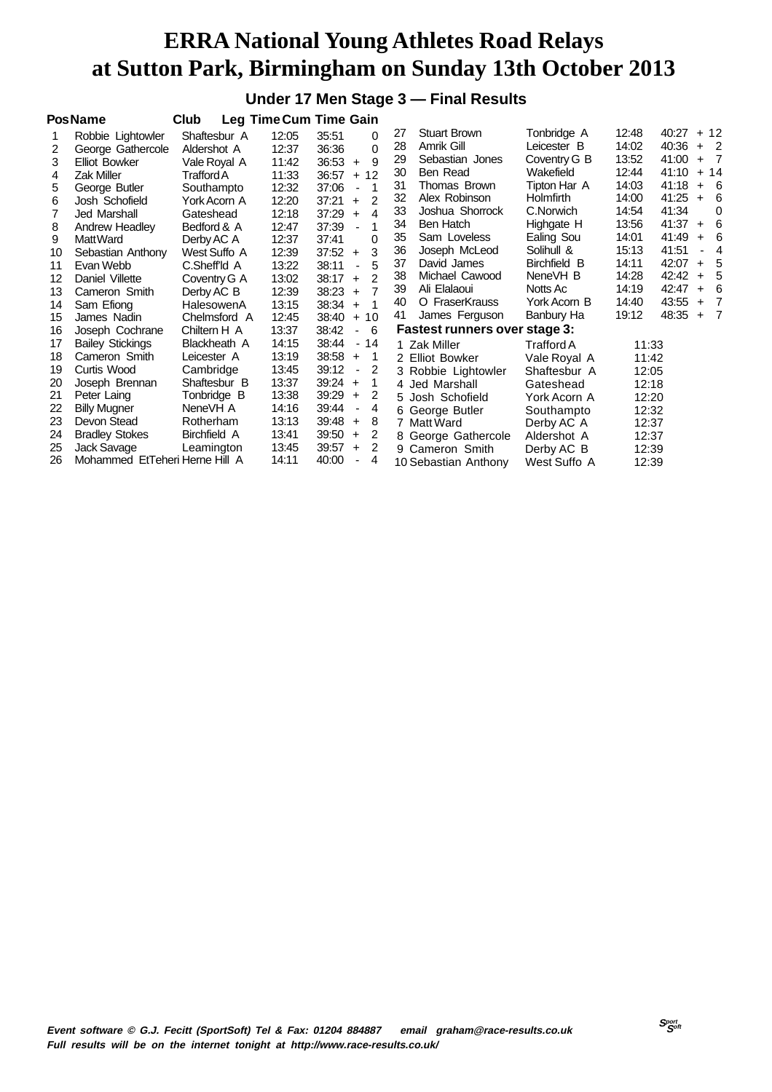#### **Under 17 Men Stage 3 — Final Results**

|    | <b>PosName</b>                 | Club         |       | Leg Time Cum Time Gain                 |    |                               |              |       |       |     |                |
|----|--------------------------------|--------------|-------|----------------------------------------|----|-------------------------------|--------------|-------|-------|-----|----------------|
|    | Robbie Lightowler              | Shaftesbur A | 12:05 | 35:51<br>0                             | 27 | <b>Stuart Brown</b>           | Tonbridge A  | 12:48 | 40:27 |     | $+12$          |
| 2  | George Gathercole              | Aldershot A  | 12:37 | 0<br>36:36                             | 28 | Amrik Gill                    | Leicester B  | 14:02 | 40:36 |     | $+2$           |
| 3  | <b>Elliot Bowker</b>           | Vale Royal A | 11:42 | 9<br>36:53<br>$+$                      | 29 | Sebastian Jones               | Coventry G B | 13:52 | 41:00 | $+$ | $\overline{7}$ |
| 4  | Zak Miller                     | Trafford A   | 11:33 | 36:57<br>$+12$                         | 30 | Ben Read                      | Wakefield    | 12:44 | 41:10 |     | $+ 14$         |
| 5  | George Butler                  | Southampto   | 12:32 | 37:06<br>1<br>$\blacksquare$           | 31 | Thomas Brown                  | Tipton Har A | 14:03 | 41:18 |     | $+ 6$          |
| 6  | Josh Schofield                 | York Acorn A | 12:20 | 2<br>37:21<br>$+$                      | 32 | Alex Robinson                 | Holmfirth    | 14:00 | 41:25 | $+$ | 6              |
| 7  | Jed Marshall                   | Gateshead    | 12:18 | 37:29<br>4<br>$+$                      | 33 | Joshua Shorrock               | C.Norwich    | 14:54 | 41:34 |     | $\Omega$       |
| 8  | Andrew Headley                 | Bedford & A  | 12:47 | 37:39                                  | 34 | Ben Hatch                     | Highgate H   | 13:56 | 41:37 | $+$ | 6              |
| 9  | Matt Ward                      | Derby AC A   | 12:37 | 0<br>37:41                             | 35 | Sam Loveless                  | Ealing Sou   | 14:01 | 41:49 | $+$ | - 6            |
| 10 | Sebastian Anthony              | West Suffo A | 12:39 | 3<br>37:52<br>$+$                      | 36 | Joseph McLeod                 | Solihull &   | 15:13 | 41:51 |     | $\overline{4}$ |
| 11 | Evan Webb                      | C.Sheff'ld A | 13:22 | 5<br>38:11<br>ä,                       | 37 | David James                   | Birchfield B | 14:11 | 42:07 | $+$ | - 5            |
| 12 | Daniel Villette                | Coventry G A | 13:02 | $\mathfrak{p}$<br>38:17<br>$+$         | 38 | Michael Cawood                | NeneVH B     | 14:28 | 42:42 | $+$ | - 5            |
| 13 | Cameron Smith                  | Derby AC B   | 12:39 | $\overline{7}$<br>38:23<br>$\ddot{}$   | 39 | Ali Elalaoui                  | Notts Ac     | 14:19 | 42:47 | $+$ | 6              |
| 14 | Sam Efiong                     | HalesowenA   | 13:15 | 38:34<br>1<br>$\ddot{}$                | 40 | O FraserKrauss                | York Acorn B | 14:40 | 43:55 | $+$ | $\overline{7}$ |
| 15 | James Nadin                    | Chelmsford A | 12:45 | 38:40<br>$+10$                         | 41 | James Ferguson                | Banbury Ha   | 19:12 | 48:35 | $+$ | $\overline{7}$ |
| 16 | Joseph Cochrane                | Chiltern H A | 13:37 | 38:42<br>6<br>$\blacksquare$           |    | Fastest runners over stage 3: |              |       |       |     |                |
| 17 | <b>Bailey Stickings</b>        | Blackheath A | 14:15 | 38:44<br>- 14                          |    | 1 Zak Miller                  | Trafford A   | 11:33 |       |     |                |
| 18 | Cameron Smith                  | Leicester A  | 13:19 | 38:58<br>$\overline{1}$<br>$\ddot{}$   |    | 2 Elliot Bowker               | Vale Royal A | 11:42 |       |     |                |
| 19 | Curtis Wood                    | Cambridge    | 13:45 | 39:12<br>2<br>$\blacksquare$           |    | 3 Robbie Lightowler           | Shaftesbur A | 12:05 |       |     |                |
| 20 | Joseph Brennan                 | Shaftesbur B | 13:37 | 39:24<br>1<br>$\ddot{}$                |    | 4 Jed Marshall                | Gateshead    | 12:18 |       |     |                |
| 21 | Peter Laing                    | Tonbridge B  | 13:38 | 39:29<br>2<br>$\ddot{}$                |    | 5 Josh Schofield              | York Acorn A | 12:20 |       |     |                |
| 22 | <b>Billy Mugner</b>            | NeneVH A     | 14:16 | 39:44<br>4<br>$\overline{\phantom{a}}$ |    | 6 George Butler               | Southampto   | 12:32 |       |     |                |
| 23 | Devon Stead                    | Rotherham    | 13:13 | 39:48<br>8<br>$\ddot{}$                |    | 7 Matt Ward                   | Derby AC A   | 12:37 |       |     |                |
| 24 | <b>Bradley Stokes</b>          | Birchfield A | 13:41 | 39:50<br>2<br>$\ddot{}$                |    | 8 George Gathercole           | Aldershot A  | 12:37 |       |     |                |
| 25 | Jack Savage                    | Leamington   | 13:45 | 39:57<br>2<br>$\ddot{}$                |    | 9 Cameron Smith               | Derby AC B   | 12:39 |       |     |                |
| 26 | Mohammed EtTeheri Herne Hill A |              | 14:11 | 40:00<br>4                             |    | 10 Sebastian Anthony          | West Suffo A | 12:39 |       |     |                |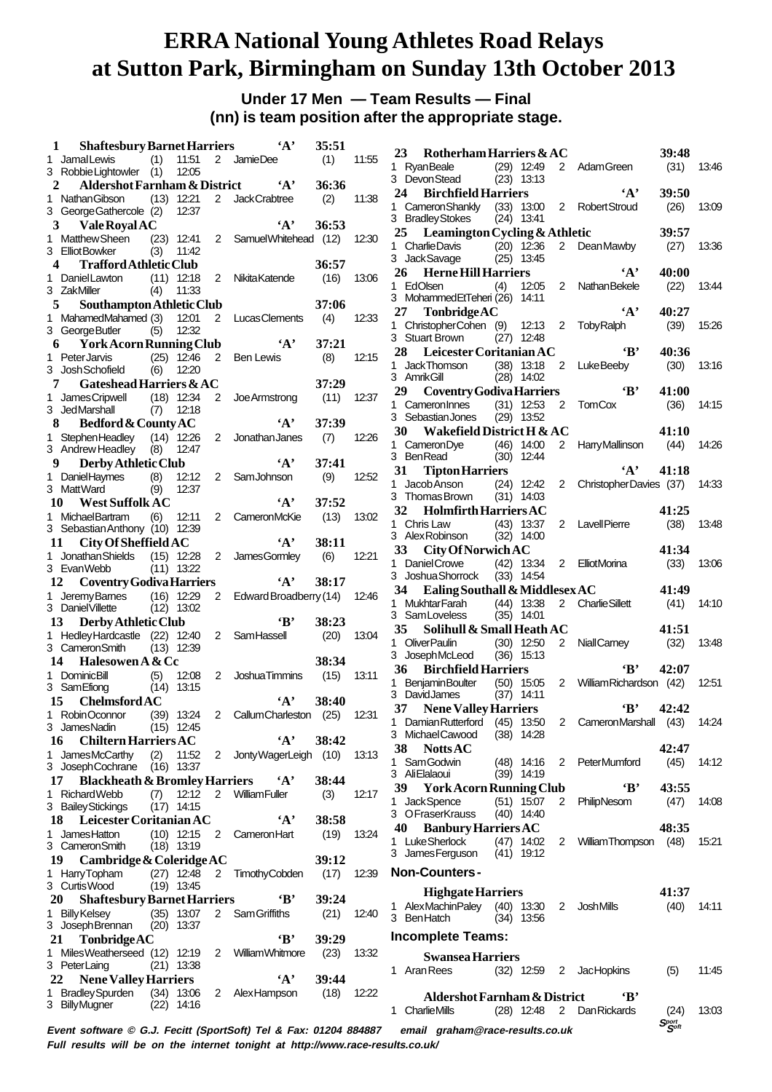#### **Under 17 Men — Team Results — Final (nn) is team position after the appropriate stage.**

| 1  | <b>Shaftesbury Barnet Harriers</b>                                |     |                              |                | $\mathbf{A}$                        | 35:51 |       | 23<br>Rotherham Harriers & AC<br>39:48                                                               |       |
|----|-------------------------------------------------------------------|-----|------------------------------|----------------|-------------------------------------|-------|-------|------------------------------------------------------------------------------------------------------|-------|
|    | 1 JamalLewis                                                      | (1) | 11:51                        |                | 2 JamieDee                          | (1)   | 11:55 | 1 RyanBeale<br>$(29)$ 12:49<br>2 Adam Green<br>(31)                                                  | 13:46 |
|    | 3 RobbieLightowler (1)                                            |     | 12:05                        |                |                                     |       |       | 3 DevonStead<br>$(23)$ 13:13                                                                         |       |
| 2  | Aldershot Farnham & District                                      |     |                              |                | $\mathbf{A}$                        | 36:36 |       | $\mathbf{A}$<br>24 Birchfield Harriers<br>39:50                                                      |       |
|    | 1 Nathan Gibson                                                   |     | $(13)$ 12:21                 |                | 2 JackCrabtree                      | (2)   | 11:38 | 1 Cameron Shankly<br>(33) 13:00 2 RobertStroud<br>(26)                                               | 13:09 |
|    | 3 George Gathercole (2)                                           |     | 12:37                        |                |                                     |       |       | 3 Bradley Stokes<br>$(24)$ 13:41                                                                     |       |
| 3  | <b>Vale Royal AC</b>                                              |     |                              |                | $\mathbf{A}$                        | 36:53 |       | 25 Leamington Cycling & Athletic<br>39:57                                                            |       |
|    | 1 Matthew Sheen                                                   |     | $(23)$ 12:41                 |                | 2 Samuel Whitehead (12)             |       | 12:30 | 1 Charlie Davis<br>$(20)$ 12:36<br>(27)<br>$2^{\circ}$<br>DeanMawby                                  | 13:36 |
|    | 3 ElliotBowker                                                    | (3) | 11:42                        |                |                                     |       |       | 3 Jack Savage<br>$(25)$ 13:45                                                                        |       |
| 4  | <b>Trafford Athletic Club</b>                                     |     |                              |                |                                     | 36:57 |       | <b>Herne Hill Harriers</b><br>$\mathbf{A}$<br>40:00<br>26                                            |       |
|    | 1 Daniel Lawton                                                   |     | $(11)$ 12:18                 |                | 2 Nikita Katende                    | (16)  | 13:06 | 1 EdOlsen<br>12:05<br>$2^{\circ}$<br><b>Nathan Bekele</b><br>(22)<br>(4)                             | 13:44 |
|    | 3 ZakMiller                                                       | (4) | 11:33                        |                |                                     |       |       | 3 MohammedEtTeheri (26) 14:11                                                                        |       |
| 5  | Southampton Athletic Club                                         |     |                              |                |                                     | 37:06 |       | $\mathbf{A}$<br>TonbridgeAC<br>40:27<br>27                                                           |       |
|    | 1 MahamedMahamed (3)                                              |     | 12:01                        |                | 2 Lucas Clements                    | (4)   | 12:33 | 1 ChristopherCohen (9) 12:13 2 TobyRalph<br>(39)                                                     | 15:26 |
|    | 3 GeorgeButler                                                    | (5) | 12:32                        |                |                                     |       |       | 3 Stuart Brown<br>$(27)$ 12:48                                                                       |       |
| 6  | <b>York Acorn Running Club</b>                                    |     |                              |                | $\mathbf{A}$                        | 37:21 |       | Leicester Coritanian AC<br>$\mathbf{B}$<br>28<br>40:36                                               |       |
|    | 1 PeterJarvis<br>3 Josh Schofield                                 |     | $(25)$ 12:46<br>$(6)$ 12:20  | 2              | Ben Lewis                           | (8)   | 12:15 | 1 JackThomson<br>$(38)$ 13:18<br>2 LukeBeeby<br>(30)                                                 | 13:16 |
|    |                                                                   |     |                              |                |                                     | 37:29 |       | 3 AmrikGill<br>$(28)$ 14:02                                                                          |       |
| 7  | Gateshead Harriers & AC                                           |     |                              |                |                                     |       |       | 29<br>$\mathbf{B}$<br>41:00<br><b>Coventry Godiva Harriers</b>                                       |       |
|    | 1 James Cripwell<br>3 JedMarshall                                 |     | $(18)$ 12:34<br>$(7)$ 12:18  | $\overline{2}$ | Joe Armstrong                       | (11)  | 12:37 | 1 Cameron Innes<br>$(31)$ 12:53<br>2 TomCox<br>(36)                                                  | 14:15 |
| 8  | Bedford & County AC                                               |     |                              |                | $\mathbf{A}$                        | 37:39 |       | 3 Sebastian Jones<br>$(29)$ 13:52                                                                    |       |
|    | 1 StephenHeadley (14) 12:26                                       |     |                              | $\overline{2}$ | Jonathan Janes                      | (7)   | 12:26 | 30<br>Wakefield District H & AC<br>41:10                                                             |       |
|    | 3 Andrew Headley (8) 12:47                                        |     |                              |                |                                     |       |       | $(46)$ 14:00<br>1 CameronDye<br>2 Harry Mallinson<br>(44)                                            | 14:26 |
| 9  | Derby Athletic Club                                               |     |                              |                | $\mathbf{A}$                        | 37:41 |       | 3 BenRead<br>$(30)$ 12:44                                                                            |       |
|    | 1 Daniel Haymes                                                   | (8) | 12:12                        |                | 2 SamJohnson                        | (9)   | 12:52 | $\mathbf{A}$<br>31<br><b>Tipton Harriers</b><br>41:18                                                |       |
|    | 3 MattWard                                                        | (9) | 12:37                        |                |                                     |       |       | 1 Jacob Anson<br>$(24)$ 12:42<br>$\overline{2}$<br>ChristopherDavies (37)                            | 14:33 |
|    | <b>West Suffolk AC</b><br>10                                      |     |                              |                | $\mathbf{A}$                        | 37:52 |       | 3 Thomas Brown<br>$(31)$ 14:03                                                                       |       |
|    | 1 MichaelBartram                                                  | (6) | 12:11                        |                | 2 CameronMcKie                      | (13)  | 13:02 | 32 Holmfirth Harriers AC<br>41:25                                                                    |       |
|    | 3 Sebastian Anthony (10) 12:39                                    |     |                              |                |                                     |       |       | (38)<br>1 Chris Law<br>$(43)$ 13:37<br>2 LavellPierre                                                | 13:48 |
| 11 | City Of Sheffield AC                                              |     |                              |                | $\mathbf{A}$                        | 38:11 |       | 3 Alex Robinson<br>$(32)$ 14:00                                                                      |       |
|    | 1 Jonathan Shields (15) 12:28                                     |     |                              | $\mathbf{2}$   | James Gormley                       | (6)   | 12:21 | 33 <sup>3</sup><br>41:34<br>City Of Norwich AC                                                       |       |
|    | 3 Evan Webb                                                       |     | $(11)$ 13:22                 |                |                                     |       |       | 1 Daniel Crowe<br>$(42)$ 13:34<br>$2^{\circ}$<br>(33)<br>ElliotMorina                                | 13:06 |
| 12 | Coventry Godiva Harriers                                          |     |                              |                | $\mathbf{A}$                        | 38:17 |       | 3 Joshua Shorrock<br>$(33)$ 14:54                                                                    |       |
|    | 1 Jeremy Barnes                                                   |     | $(16)$ 12:29                 | $\overline{2}$ | Edward Broadberry (14)              |       | 12:46 | 34 Ealing Southall & Middlesex AC<br>41:49                                                           |       |
|    | 3 Daniel Villette                                                 |     | $(12)$ 13:02                 |                |                                     |       |       | 2 Charlie Sillett<br>1 MukhtarFarah<br>$(44)$ 13:38<br>(41)                                          | 14:10 |
|    | Derby Athletic Club<br>13                                         |     |                              |                | $\bf{B}$                            | 38:23 |       | 3 Sam Loveless<br>$(35)$ 14:01                                                                       |       |
|    | 1 Hedley Hardcastle (22) 12:40                                    |     |                              | $\overline{2}$ | SamHassell                          | (20)  | 13:04 | Solihull & Small Heath AC<br>35<br>41:51                                                             |       |
|    | 3 Cameron Smith                                                   |     | $(13)$ 12:39                 |                |                                     |       |       | 1 OliverPaulin<br>$(30)$ 12:50<br>(32)<br>$\mathbf{2}$<br>NiallCamey                                 | 13:48 |
| 14 | Halesowen A & Cc                                                  |     |                              |                |                                     | 38:34 |       | 3 JosephMcLeod<br>$(36)$ 15:13<br>$\mathbf{B}$<br><b>Birchfield Harriers</b><br>42:07                |       |
|    | 1 DominicBill                                                     | (5) | 12:08                        |                | 2 Joshua Timmins                    | (15)  | 13:11 | 36                                                                                                   |       |
|    | 3 SamEfiong                                                       |     | $(14)$ 13:15                 |                |                                     |       |       | (50) 15:05 2 William Richardson (42)<br><b>BenjaminBoulter</b><br>1.<br>3 DavidJames<br>$(37)$ 14:11 | 12:51 |
| 15 | <b>Chelmsford AC</b>                                              |     |                              |                | $\mathbf{A}$                        | 38:40 |       | $\mathbf{B}$<br><b>Nene Valley Harriers</b><br>37<br>42:42                                           |       |
|    | 1 RobinOconnor                                                    |     |                              |                | (39) 13:24 2 Callum Charleston (25) |       | 12:31 | 1 Damian Rutterford (45) 13:50 2 Cameron Marshall (43) 14:24                                         |       |
|    | 3 JamesNadin                                                      |     | $(15)$ 12:45                 |                |                                     |       |       | 3 MichaelCawood<br>$(38)$ 14:28                                                                      |       |
|    | <b>Chiltern Harriers AC</b><br>16                                 |     |                              |                | $\mathbf{A}$                        | 38:42 |       | 38<br><b>Notts AC</b><br>42:47                                                                       |       |
|    | 1 JamesMcCarthy                                                   |     | $(2)$ 11:52                  |                | 2 Jonty WagerLeigh (10) 13:13       |       |       | 1 Sam Godwin<br>(48) 14:16 2 PeterMumford<br>(45)                                                    | 14:12 |
|    | 3 Joseph Cochrane (16) 13:37                                      |     |                              |                |                                     |       |       | 3 AliElalaoui<br>$(39)$ 14:19                                                                        |       |
|    | <b>Blackheath &amp; Bromley Harriers</b><br>17                    |     |                              |                | $^{\circ}$ A'                       | 38:44 |       | $\bf{B}$<br>43:55<br>39 York Acorn Running Club                                                      |       |
|    | 1 Richard Webb                                                    |     |                              |                | (7) 12:12 2 William Fuller          | (3)   | 12:17 | 1 Jack Spence<br>$(51)$ 15:07<br>(47)<br>2<br>PhilipNesom                                            | 14:08 |
|    | 3 Bailey Stickings                                                |     | $(17)$ 14:15                 |                |                                     |       |       | 3 OFraserKrauss<br>$(40)$ 14:40                                                                      |       |
|    | 18 Leicester Coritanian AC                                        |     |                              |                | $\mathbf{A}$                        | 38:58 |       | 40 Banbury Harriers AC<br>48:35                                                                      |       |
|    | 1 JamesHatton                                                     |     |                              |                | $(10)$ 12:15 2 Cameron Hart         | (19)  | 13:24 | 1 Luke Sherlock<br>$(47)$ 14:02<br>2 William Thompson<br>(48)                                        | 15:21 |
|    | 3 CameronSmith                                                    |     | $(18)$ 13:19                 |                |                                     |       |       | 3 James Ferguson<br>$(41)$ 19:12                                                                     |       |
|    | 19 Cambridge & Coleridge AC                                       |     |                              |                |                                     | 39:12 |       | <b>Non-Counters-</b>                                                                                 |       |
|    | 1 HarryTopham<br>3 CurtisWood                                     |     | $(27)$ 12:48<br>$(19)$ 13:45 |                | 2 Timothy Cobden                    | (17)  | 12:39 |                                                                                                      |       |
|    |                                                                   |     |                              |                | $\mathbf{B}$                        | 39:24 |       | <b>Highgate Harriers</b><br>41:37                                                                    |       |
|    | <b>Shaftesbury Barnet Harriers</b><br><b>20</b><br>1 Billy Kelsey |     | $(35)$ 13:07                 |                | 2 Sam Griffiths                     | (21)  | 12:40 | 1 AlexMachinPaley (40) 13:30 2 JoshMills<br>(40)                                                     | 14:11 |
|    |                                                                   |     | $(20)$ 13:37                 |                |                                     |       |       | 3 BenHatch<br>$(34)$ 13:56                                                                           |       |
|    |                                                                   |     |                              |                | 'B'                                 | 39:29 |       | <b>Incomplete Teams:</b>                                                                             |       |
|    | 3 Joseph Brennan                                                  |     |                              |                |                                     |       |       |                                                                                                      |       |
|    | 21<br>TonbridgeAC                                                 |     |                              |                |                                     |       |       |                                                                                                      |       |
|    | 1 Miles Weatherseed (12) 12:19                                    |     |                              |                | 2 William Whitmore                  | (23)  | 13:32 | <b>Swansea Harriers</b>                                                                              |       |
|    | 3 PeterLaing                                                      |     | $(21)$ 13:38                 |                |                                     |       |       | 1 Aran Rees<br>(32) 12:59 2 JacHopkins<br>(5)                                                        | 11:45 |
|    | 22 Nene Valley Harriers                                           |     |                              |                | $\mathbf{A}$                        | 39:44 |       |                                                                                                      |       |
|    | 1 Bradley Spurden<br>3 BillyMugner                                |     | $(34)$ 13:06<br>$(22)$ 14:16 |                | 2 AlexHampson                       | (18)  | 12:22 | Aldershot Farnham & District<br>$\cdot$ B                                                            |       |
|    |                                                                   |     |                              |                |                                     |       |       | 1 Charlie Mills<br>$(28)$ 12:48 2 Dan Rickards<br>(24)<br>$S_{\mathcal{S}^{opt}}^{port}$             | 13:03 |

**Full results will be on the internet tonight at http://www.race-results.co.uk/**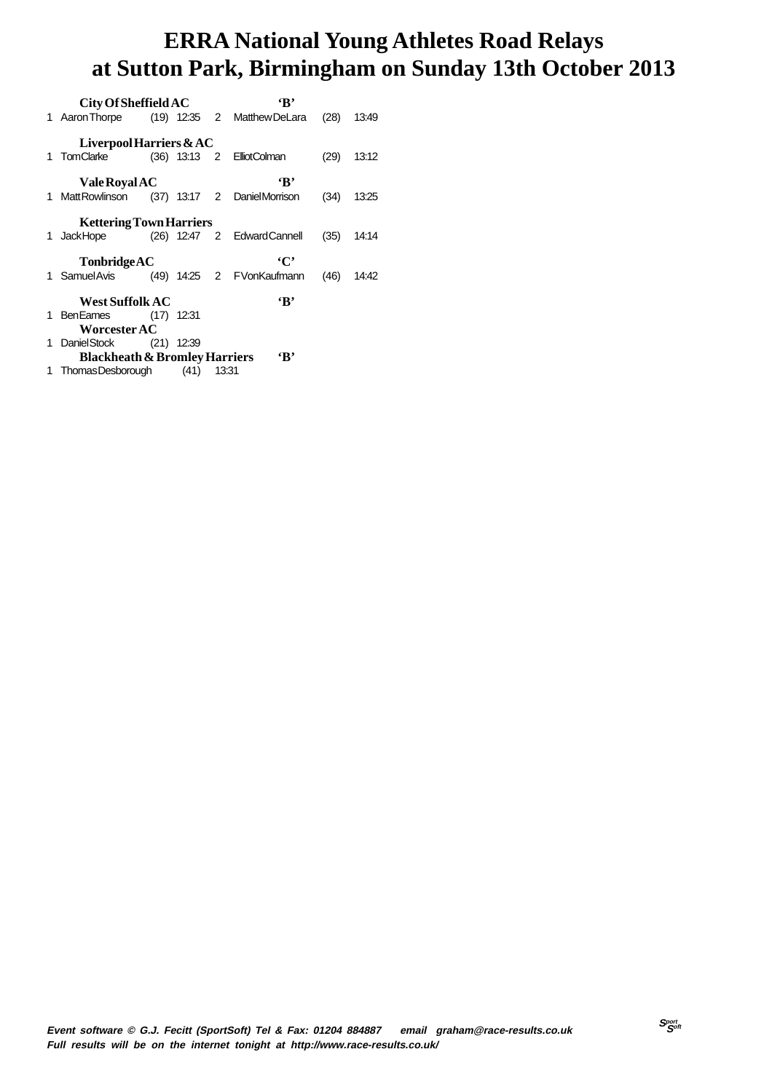| City Of Sheffield AC                     |  |       | $\mathbf{R}$                                |      |              |
|------------------------------------------|--|-------|---------------------------------------------|------|--------------|
|                                          |  |       | 1 Aaron Thorpe (19) 12:35 2 Matthew DeLara  |      | $(28)$ 13:49 |
| Liverpool Harriers $&AC$                 |  |       |                                             |      |              |
|                                          |  |       | 1 TomClarke (36) 13:13 2 ElliotColman       | (29) | 13:12        |
| Vale Royal AC                            |  |       | $\mathbf{R}$                                |      |              |
|                                          |  |       | 1 MattRowlinson (37) 13:17 2 DanielMorrison | (34) | 13:25        |
| <b>Kettering Town Harriers</b>           |  |       |                                             |      |              |
|                                          |  |       | 1 JackHope (26) 12:47 2 EdwardCannell       |      | $(35)$ 14:14 |
| TonbridgeAC                              |  |       | $\cdot$ C'                                  |      |              |
|                                          |  |       | 1 SamuelAvis (49) 14:25 2 FVonKaufmann      |      | $(46)$ 14:42 |
| <b>West Suffolk AC</b>                   |  |       | $\mathbf{R}$                                |      |              |
| 1 BenEames (17) 12:31                    |  |       |                                             |      |              |
| <b>Worcester AC</b>                      |  |       |                                             |      |              |
| 1 DanielStock (21) 12:39                 |  |       |                                             |      |              |
| <b>Blackheath &amp; Bromley Harriers</b> |  |       | $\mathbf{B}$                                |      |              |
| 1 ThomasDesborough (41)                  |  | 13:31 |                                             |      |              |